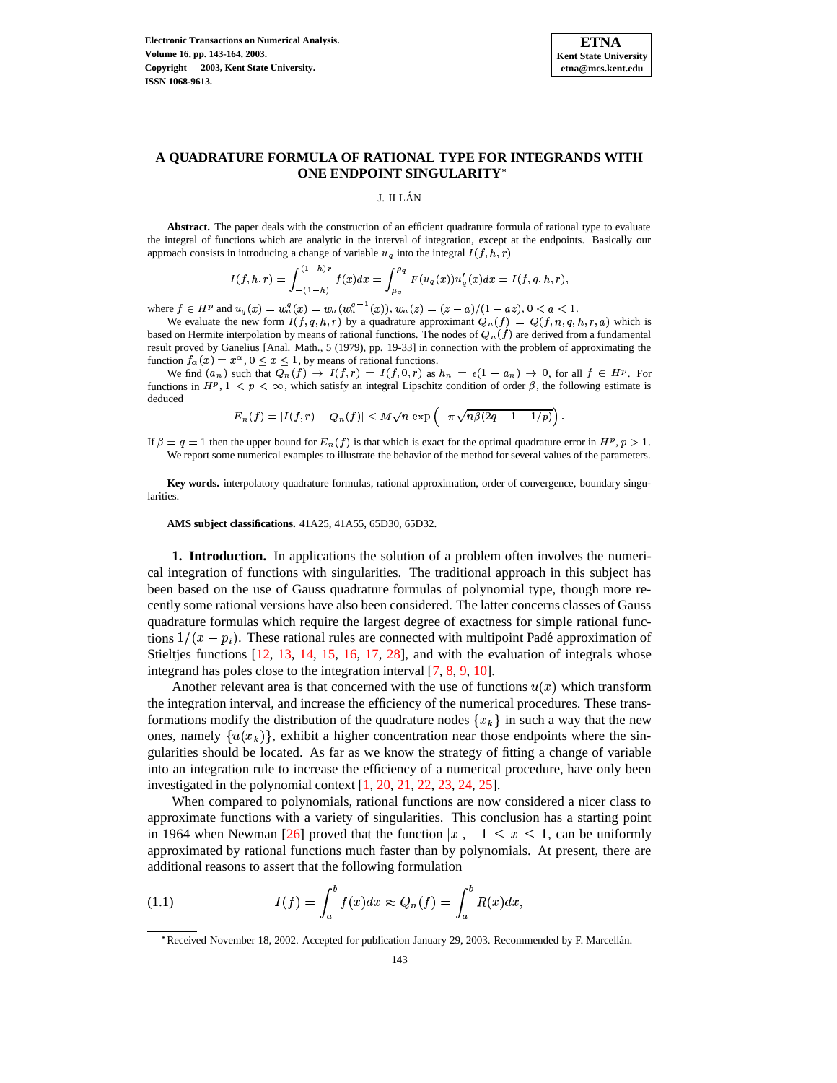

# **A QUADRATURE FORMULA OF RATIONAL TYPE FOR INTEGRANDS WITH ONE ENDPOINT SINGULARITY**

#### J. ILLAN´

**Abstract.** The paper deals with the construction of an efficient quadrature formula of rational type to evaluate the integral of functions which are analytic in the interval of integration, except at the endpoints. Basically our approach consists in introducing a change of variable  $u_q$  into the integral  $I(f, h, r)$ 

$$
I(f, h, r) = \int_{-(1-h)}^{(1-h)r} f(x) dx = \int_{\mu_q}^{\rho_q} F(u_q(x)) u'_q(x) dx = I(f, q, h, r),
$$

where  $f \in H^p$  and  $u_q(x) = w_q^q(x) = w_q(w_q^{q-1}(x))$ ,  $w_q(z) = (z - a)/(1 - az)$ ,  $0 < a < 1$ .

We evaluate the new form  $I(f, q, h, r)$  by a quadrature approximant  $Q_n(f) = Q(f, n, q, h, r, a)$  which is based on Hermite interpolation by means of rational functions. The nodes of  $Q_n(f)$  are derived from a fundamental result proved by Ganelius [Anal. Math., 5 (1979), pp. 19-33] in connection with the problem of approximating the function  $f_{\alpha}(x) = x^{\alpha}, 0 \le x \le 1$ , by means of rational functions.

We find  $(a_n)$  such that  $Q_n(f) \to I(f,r) = I(f,0,r)$  as  $h_n = \epsilon(1 - a_n) \to 0$ , for all  $f \in H^p$ . For functions in  $H^p$ ,  $1 < p < \infty$ , which satisfy an integral Lipschitz condition of order  $\beta$ , the following estimate is deduced

$$
E_n(f)=|I(f,r)-Q_n(f)|\leq M\sqrt{n}\exp\left(-\pi\sqrt{n\beta(2q-1-1/p)}\right).
$$

If  $\beta = q = 1$  then the upper bound for  $E_n(f)$  is that which is exact for the optimal quadrature error in  $H^p$ ,  $p > 1$ . We report some numerical examples to illustrate the behavior of the method for several values of the parameters.

**Key words.** interpolatory quadrature formulas, rational approximation, order of convergence, boundary singularities.

**AMS subject classifications.** 41A25, 41A55, 65D30, 65D32.

**1. Introduction.** In applications the solution of a problem often involves the numerical integration of functions with singularities. The traditional approach in this subject has been based on the use of Gauss quadrature formulas of polynomial type, though more recently some rational versions have also been considered. The latter concerns classes of Gauss quadrature formulas which require the largest degree of exactness for simple rational functions  $1/(x - p_i)$ . These rational rules are connected with multipoint Padé approximation of Stieltjes functions [\[12,](#page-21-0) [13,](#page-21-1) [14,](#page-21-2) [15,](#page-21-3) [16,](#page-21-4) [17,](#page-21-5) [28\]](#page-21-6), and with the evaluation of integrals whose integrand has poles close to the integration interval [\[7,](#page-20-0) [8,](#page-20-1) [9,](#page-20-2) [10\]](#page-20-3).

Another relevant area is that concerned with the use of functions  $u(x)$  which transform the integration interval, and increase the efficiency of the numerical procedures. These transformations modify the distribution of the quadrature nodes  $\{x_k\}$  in such a way that the new ones, namely  $\{u(x_k)\}\$ , exhibit a higher concentration near those endpoints where the singularities should be located. As far as we know the strategy of fitting a change of variable into an integration rule to increase the efficiency of a numerical procedure, have only been investigated in the polynomial context [\[1,](#page-20-4) [20,](#page-21-7) [21,](#page-21-8) [22,](#page-21-9) [23,](#page-21-10) [24,](#page-21-11) [25\]](#page-21-12).

<span id="page-0-0"></span>When compared to polynomials, rational functions are now considered a nicer class to approximate functions with a variety of singularities. This conclusion has a starting point in 1964 when Newman [\[26\]](#page-21-13) proved that the function  $|x|, -1 \le x \le 1$ , can be uniformly approximated by rational functions much faster than by polynomials. At present, there are additional reasons to assert that the following formulation

(1.1) 
$$
I(f) = \int_a^b f(x)dx \approx Q_n(f) = \int_a^b R(x)dx,
$$

<sup>\*</sup> Received November 18, 2002. Accepted for publication January 29, 2003. Recommended by F. Marcellán.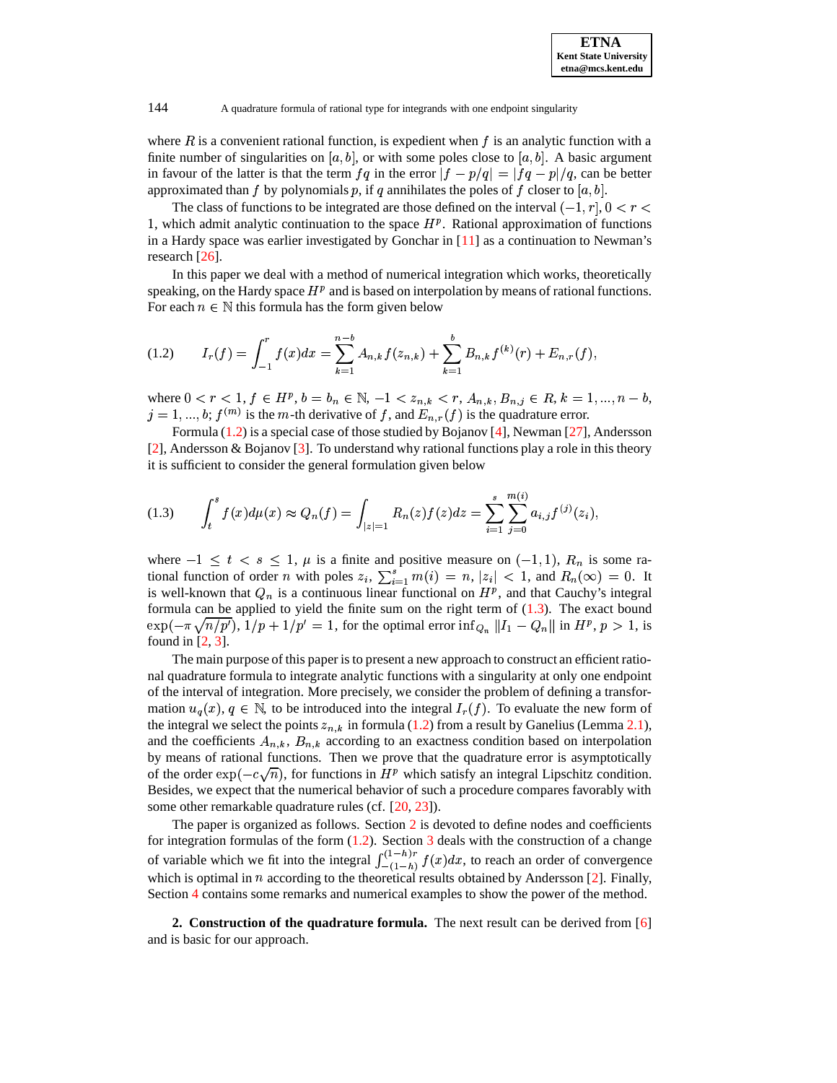where  $R$  is a convenient rational function, is expedient when  $f$  is an analytic function with a finite number of singularities on [a, b], or with some poles close to [a, b]. A basic argument in favour of the latter is that the term  $f q$  in the error  $|f - p/q| = |fq - p|/q$ , can be better approximated than f by polynomials p, if q annihilates the poles of f closer to  $[a, b]$ .

The class of functions to be integrated are those defined on the interval  $(-1, r], 0 < r <$ 1, which admit analytic continuation to the space  $H<sup>p</sup>$ . Rational approximation of functions in a Hardy space was earlier investigated by Gonchar in [\[11\]](#page-21-14) as a continuation to Newman's research [\[26\]](#page-21-13).

<span id="page-1-0"></span>In this paper we deal with a method of numerical integration which works, theoretically speaking, on the Hardy space  $H<sup>p</sup>$  and is based on interpolation by means of rational functions. For each  $n \in \mathbb{N}$  this formula has the form given below

$$
(1.2) \tI_r(f) = \int_{-1}^r f(x)dx = \sum_{k=1}^{n-b} A_{n,k}f(z_{n,k}) + \sum_{k=1}^b B_{n,k}f^{(k)}(r) + E_{n,r}(f),
$$

where  $0 < r < 1$ ,  $f \in H^p$ ,  $b = b_n \in \mathbb{N}$ ,  $-1 < z_{n,k} < r$ ,  $A_{n,k}$ ,  $B_{n,j} \in R$ ,  $k = 1, ..., n - b$ ,  $j = 1, ..., b; f<sup>(m)</sup>$  is the m-th derivative of f, and  $E_{n,r}(f)$  is the quadrature error.

<span id="page-1-1"></span>Formula  $(1.2)$  is a special case of those studied by Bojanov [\[4\]](#page-20-5), Newman [\[27\]](#page-21-15), Andersson [\[2\]](#page-20-6), Andersson & Bojanov [\[3\]](#page-20-7). To understand why rational functions play a role in this theory it is sufficient to consider the general formulation given below

$$
(1.3) \qquad \int_{t}^{s} f(x) d\mu(x) \approx Q_n(f) = \int_{|z|=1} R_n(z) f(z) dz = \sum_{i=1}^{s} \sum_{j=0}^{m(i)} a_{i,j} f^{(j)}(z_i),
$$

where  $-1 \le t < s \le 1$ ,  $\mu$  is a finite and positive measure on  $(-1,1)$ ,  $R_n$  is some rational function of order *n* with poles  $z_i$ ,  $\sum_{i=1}^s m(i) = n$ ,  $|z_i| < 1$ , and  $R_n(\infty) = 0$ . It is well-known that  $Q_n$  is a continuous linear functional on  $H^p$ , and that Cauchy's integral formula can be applied to yield the finite sum on the right term of  $(1.3)$ . The exact bound  $\exp(-\pi \sqrt{n/p'})$ ,  $1/p + 1/p' = 1$ , for the optimal error  $\inf_{Q_n} ||I_1 - Q_n||$  in  $H^p, p > 1$ , is found in [\[2,](#page-20-6) [3\]](#page-20-7).

The main purpose of this paper is to present a new approach to construct an efficient rational quadrature formula to integrate analytic functions with a singularity at only one endpoint of the interval of integration. More precisely, we consider the problem of defining a transformation  $u_q(x)$ ,  $q \in \mathbb{N}$ , to be introduced into the integral  $I_r(f)$ . To evaluate the new form of the integral we select the points  $z_{n,k}$  in formula [\(1.2\)](#page-1-0) from a result by Ganelius (Lemma [2.1\)](#page-1-2), and the coefficients  $A_{n,k}$ ,  $B_{n,k}$  according to an exactness condition based on interpolation by means of rational functions. Then we prove that the quadrature error is asymptotically of the order  $\exp(-c\sqrt{n})$ , for functions in  $H^p$  which satisfy an integral Lipschitz condition. Besides, we expect that the numerical behavior of such a procedure compares favorably with some other remarkable quadrature rules (cf. [\[20,](#page-21-7) [23\]](#page-21-10)).

The paper is organized as follows. Section [2](#page-1-3) is devoted to define nodes and coefficients for integration formulas of the form  $(1.2)$ . Section [3](#page-4-0) deals with the construction of a change of variable which we fit into the integral  $\int_{-(1-h)}^{(1-h)/} f(x) dx$ , to reach an order of convergence which is optimal in  $n$  according to the theoretical results obtained by Andersson [\[2\]](#page-20-6). Finally, Section [4](#page-15-0) contains some remarks and numerical examples to show the power of the method.

<span id="page-1-3"></span><span id="page-1-2"></span>**2. Construction of the quadrature formula.** The next result can be derived from [\[6\]](#page-20-8) and is basic for our approach.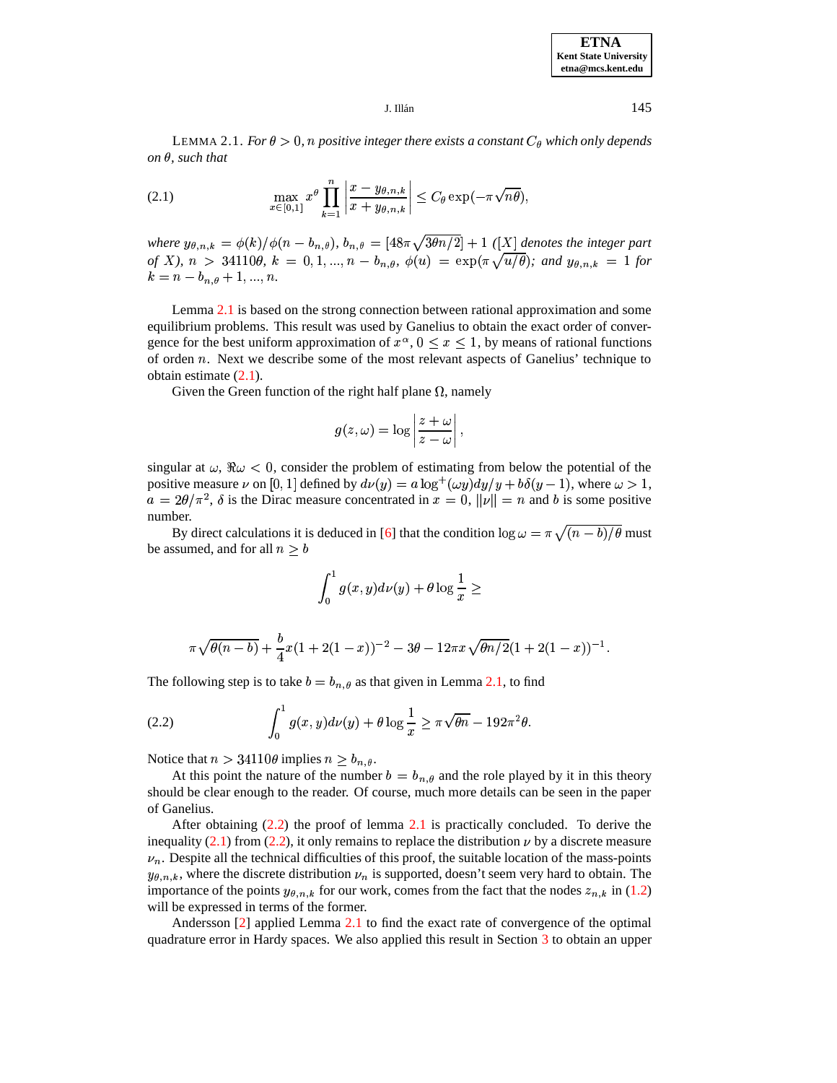**ETNA Kent State University etna@mcs.kent.edu**

J. Illán $145$ 

<span id="page-2-0"></span>LEMMA 2.1. *For*  $\theta > 0$ , *n positive integer there exists a constant*  $C_{\theta}$  *which only depends*  $\partial$ *n* $\theta$ *, such that* 

(2.1) 
$$
\max_{x \in [0,1]} x^{\theta} \prod_{k=1}^{n} \left| \frac{x - y_{\theta,n,k}}{x + y_{\theta,n,k}} \right| \leq C_{\theta} \exp(-\pi \sqrt{n\theta}),
$$

where  $y_{\theta,n,k} = \phi(k)/\phi(n-b_{n,\theta})$ ,  $b_{n,\theta} = [48\pi\sqrt{3\theta n/2}] + 1$  ([X] denotes the integer part *of X*),  $n > 34110\theta$ ,  $k = 0, 1, ..., n - b_{n,\theta}$ ,  $\phi(u) = \exp(\pi \sqrt{u/\theta})$ ; and  $y_{\theta,n,k} = 1$  for  $k = n - b_{n,\theta} + 1, ..., n.$ 

Lemma [2.1](#page-1-2) is based on the strong connection between rational approximation and some equilibrium problems. This result was used by Ganelius to obtain the exact order of convergence for the best uniform approximation of  $x^{\alpha}$ ,  $0 \le x \le 1$ , by means of rational functions of orden  $n$ . Next we describe some of the most relevant aspects of Ganelius' technique to obtain estimate [\(2.1\)](#page-2-0).

Given the Green function of the right half plane  $\Omega$ , namely

$$
g(z,\omega)=\log\left|\frac{z+\omega}{z-\omega}\right|,
$$

singular at  $\omega$ ,  $\Re \omega$  < 0, consider the problem of estimating from below the potential of the positive measure  $\nu$  on [0, 1] defined by  $d\nu(y) = a \log^+(\omega y) dy/y + b \delta(y-1)$ , where  $\omega > 1$ ,  $a = 2\theta/\pi^2$ ,  $\delta$  is the Dirac measure concentrated in  $x = 0$ ,  $\|v\| = n$  and b is some positive number.

By direct calculations it is deduced in [\[6\]](#page-20-8) that the condition  $\log \omega = \pi \sqrt{(n-b)/\theta}$  must be assumed, and for all  $n \geq b$ 

<span id="page-2-1"></span>
$$
\int_0^1g(x,y)d\nu(y)+\theta\log\frac{1}{x}\geq
$$

$$
\pi\sqrt{\theta(n-b)}+\frac{b}{4}x(1+2(1-x))^{-2}-3\theta-12\pi x\sqrt{\theta n/2}(1+2(1-x))^{-1}.
$$

The following step is to take  $b = b_{n,\theta}$  as that given in Lemma [2.1,](#page-1-2) to find

(2.2) 
$$
\int_0^1 g(x,y)d\nu(y) + \theta \log \frac{1}{x} \geq \pi \sqrt{\theta n} - 192\pi^2 \theta.
$$

Notice that  $n > 34110\theta$  implies  $n \ge b_{n,\theta}$ .

At this point the nature of the number  $b = b_{n,\theta}$  and the role played by it in this theory should be clear enough to the reader. Of course, much more details can be seen in the paper of Ganelius.

After obtaining  $(2.2)$  the proof of lemma [2.1](#page-1-2) is practically concluded. To derive the inequality [\(2.1\)](#page-2-0) from [\(2.2\)](#page-2-1), it only remains to replace the distribution  $\nu$  by a discrete measure  $\nu_n$ . Despite all the technical difficulties of this proof, the suitable location of the mass-points  $y_{\theta,n,k}$ , where the discrete distribution  $\nu_n$  is supported, doesn't seem very hard to obtain. The importance of the points  $y_{\theta,n,k}$  for our work, comes from the fact that the nodes  $z_{n,k}$  in [\(1.2\)](#page-1-0) will be expressed in terms of the former.

Andersson [\[2\]](#page-20-6) applied Lemma [2.1](#page-1-2) to find the exact rate of convergence of the optimal quadrature error in Hardy spaces. We also applied this result in Section [3](#page-4-0) to obtain an upper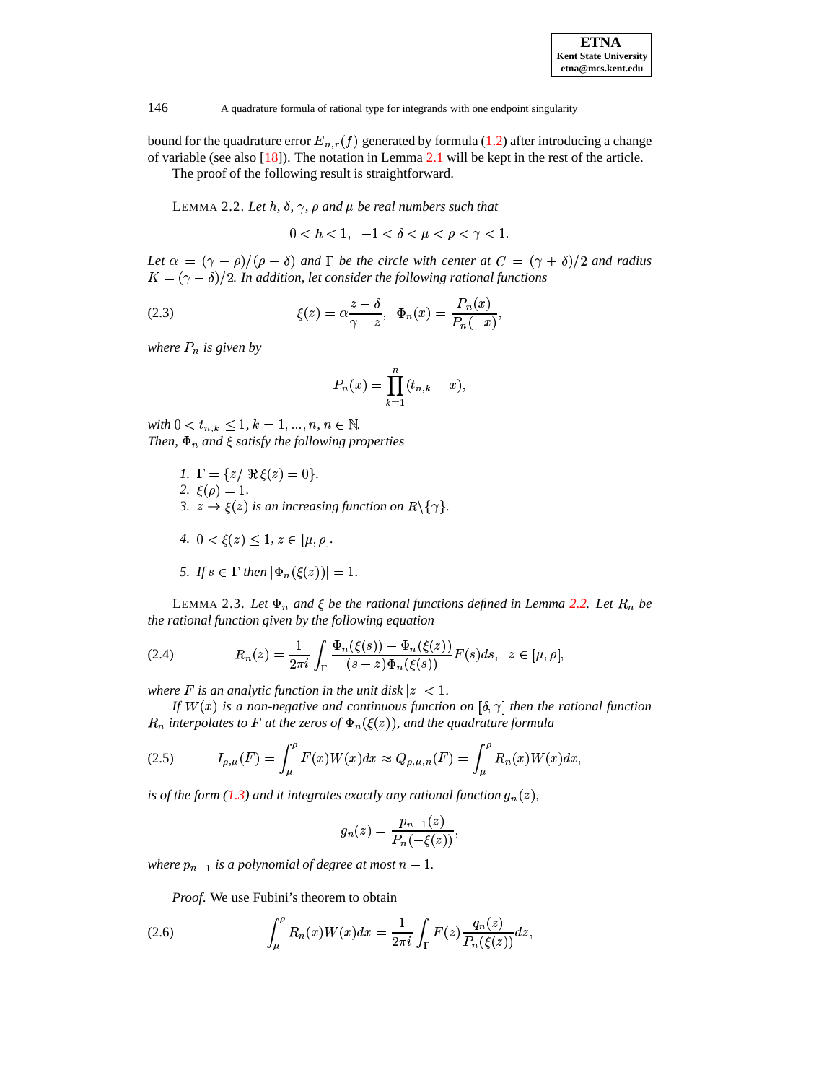| <b>ETNA</b>                  |
|------------------------------|
| <b>Kent State University</b> |
| etna@mcs.kent.edu            |

<span id="page-3-0"></span>bound for the quadrature error  $E_{n,r}(f)$  generated by formula [\(1.2\)](#page-1-0) after introducing a change of variable (see also [\[18\]](#page-21-16)). The notation in Lemma [2.1](#page-1-2) will be kept in the rest of the article.

The proof of the following result is straightforward.

LEMMA 2.2. Let  $h$ ,  $\delta$ ,  $\gamma$ ,  $\rho$  and  $\mu$  be real numbers such that

y&}y (7AH-7y <sup>&</sup>gt;

Let  $\alpha = (\gamma - \rho)/(\rho - \delta)$  and  $\Gamma$  be the circle with center at  $C = (\gamma + \delta)/2$  and radius  ${K}=(\gamma-\delta)/2$ . In addition, let consider the following rational functions

(2.3) 
$$
\xi(z) = \alpha \frac{z - \delta}{\gamma - z}, \quad \Phi_n(x) = \frac{P_n(x)}{P_n(-x)},
$$

*where is given by*

$$
P_n(x) = \prod_{k=1}^n (t_{n,k} - x),
$$

 $with 0 < t_{n,k} \leq 1, k = 1, ..., n, n \in \mathbb{N}$ . *Then,*  $\Phi_n$  *and*  $\xi$  *satisfy the following properties* 

- *1.*  $\Gamma = \{z / \Re \xi(z) = 0\}.$ 2.  $\xi(\rho) = 1$ . 3.  $z \to \xi(z)$  is an increasing function on  $R \setminus \{\gamma\}$ .
- 4.  $0 < \xi(z) \leq 1, z \in [\mu, \rho].$
- <span id="page-3-3"></span>*5. If*  $s \in \Gamma$  *then*  $|\Phi_n(\xi(z))| = 1$ .

<span id="page-3-5"></span><span id="page-3-4"></span><span id="page-3-2"></span>LEMMA 2.3. Let  $\Phi_n$  and  $\xi$  be the rational functions defined in Lemma [2.2.](#page-3-0) Let  $R_n$  be *the rational function given by the following equation*

(2.4) 
$$
R_n(z) = \frac{1}{2\pi i} \int_{\Gamma} \frac{\Phi_n(\xi(s)) - \Phi_n(\xi(z))}{(s - z)\Phi_n(\xi(s))} F(s) ds, \ \ z \in [\mu, \rho],
$$

where  $F$  is an analytic function in the unit disk  $|z| < 1$ .

*If*  $W(x)$  *is a non-negative and continuous function on*  $[\delta, \gamma]$  *then the rational function*  $_n$  interpolates to  $F$  at the zeros of  $\Phi_n(\xi(z))$ , and the quadrature formula

(2.5) 
$$
I_{\rho,\mu}(F) = \int_{\mu}^{\rho} F(x)W(x)dx \approx Q_{\rho,\mu,n}(F) = \int_{\mu}^{\rho} R_n(x)W(x)dx,
$$

is of the form [\(1.3\)](#page-1-1) and it integrates exactly any rational function  $g_n(z)$ ,

<span id="page-3-1"></span>
$$
g_n(z)=\frac{p_{n-1}(z)}{P_n(-\xi(z))},
$$

*where*  $p_{n-1}$  *is a polynomial of degree at most*  $n-1$ *.* 

*Proof*. We use Fubini's theorem to obtain

(2.6) 
$$
\int_{\mu}^{\rho} R_n(x)W(x)dx = \frac{1}{2\pi i} \int_{\Gamma} F(z) \frac{q_n(z)}{P_n(\xi(z))} dz,
$$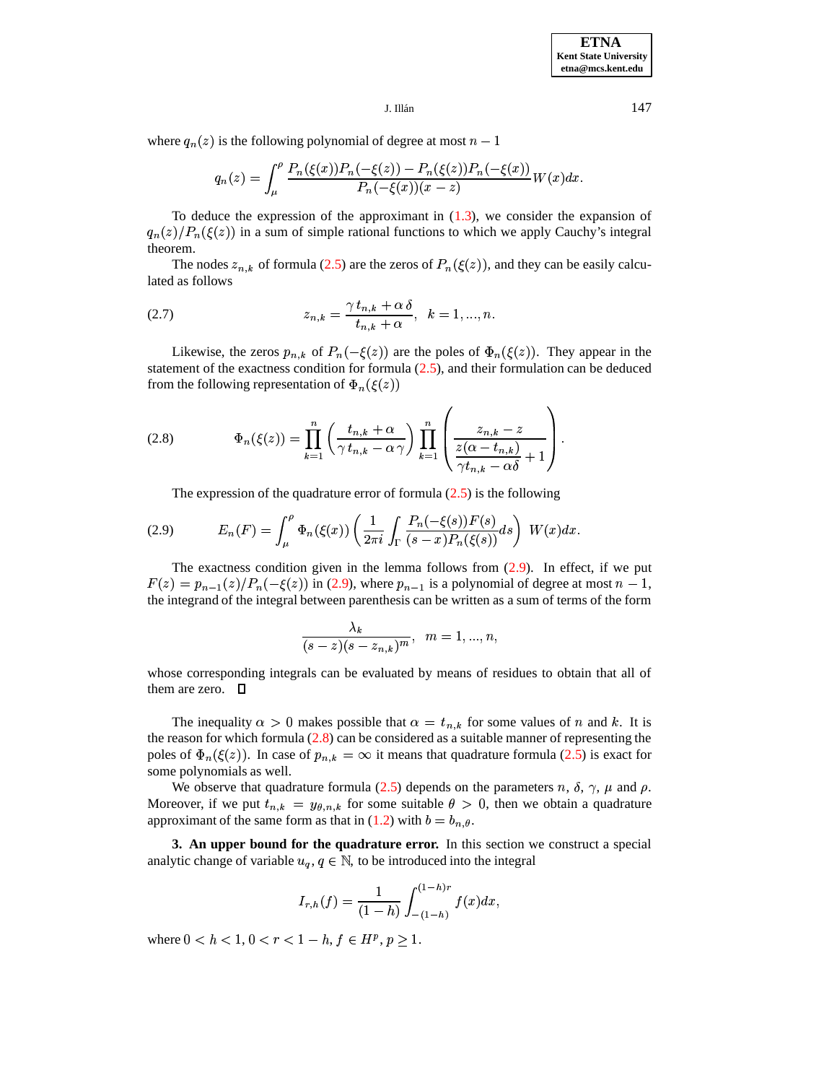## $J.$  Illán $147$

where  $q_n(z)$  is the following polynomial of degree at most  $n-1$ 

$$
q_n(z) = \int_{\mu}^{\rho} \frac{P_n(\xi(x))P_n(-\xi(z)) - P_n(\xi(z))P_n(-\xi(x))}{P_n(-\xi(x))(x-z)}W(x)dx.
$$

To deduce the expression of the approximant in  $(1.3)$ , we consider the expansion of  ${q_n(z)}/{P_n(\xi(z))}$  in a sum of simple rational functions to which we apply Cauchy's integral theorem.

<span id="page-4-3"></span>The nodes  $z_{n,k}$  of formula [\(2.5\)](#page-3-1) are the zeros of  $P_n(\xi(z))$ , and they can be easily calculated as follows

(2.7) 
$$
z_{n,k} = \frac{\gamma t_{n,k} + \alpha \delta}{t_{n,k} + \alpha}, \ \ k = 1, ..., n.
$$

Likewise, the zeros  $p_{n,k}$  of  $P_n(-\xi(z))$  are the poles of  $\Phi_n(\xi(z))$ . They appear in the statement of the exactness condition for formula [\(2.5\)](#page-3-1), and their formulation can be deduced from the following representation of  $\Phi_n(\xi(z))$ 

<span id="page-4-2"></span><span id="page-4-1"></span>

(2.8) 
$$
\Phi_n(\xi(z)) = \prod_{k=1}^n \left( \frac{t_{n,k} + \alpha}{\gamma t_{n,k} - \alpha \gamma} \right) \prod_{k=1}^n \left( \frac{z_{n,k} - z}{\frac{z(\alpha - t_{n,k})}{\gamma t_{n,k} - \alpha \delta} + 1} \right).
$$

The expression of the quadrature error of formula  $(2.5)$  is the following

(2.9) 
$$
E_n(F) = \int_{\mu}^{\rho} \Phi_n(\xi(x)) \left( \frac{1}{2\pi i} \int_{\Gamma} \frac{P_n(-\xi(s)) F(s)}{(s-x) P_n(\xi(s))} ds \right) W(x) dx.
$$

The exactness condition given in the lemma follows from  $(2.9)$ . In effect, if we put  $F(z) = p_{n-1}(z)/P_n(-\xi(z))$  in [\(2.9\)](#page-4-1), where  $p_{n-1}$  is a polynomial of degree at most  $n-1$ , the integrand of the integral between parenthesis can be written as a sum of terms of the form

$$
\frac{\lambda_k}{(s-z)(s-z_{n,k})^m},\;\;m=1,...,n,
$$

**The Committee of the Committee of the Committee of the Committee of the Committee of the Committee of the Committee** 

whose corresponding integrals can be evaluated by means of residues to obtain that all of them are zero.  $\Box$ 

The inequality  $\alpha > 0$  makes possible that  $\alpha = t_{n,k}$  for some values of n and k. It is the reason for which formula  $(2.8)$  can be considered as a suitable manner of representing the poles of  $\Phi_n(\xi(z))$ . In case of  $p_{n,k} = \infty$  it means that quadrature formula [\(2.5\)](#page-3-1) is exact for some polynomials as well.

We observe that quadrature formula [\(2.5\)](#page-3-1) depends on the parameters n,  $\delta$ ,  $\gamma$ ,  $\mu$  and  $\rho$ . Moreover, if we put  $t_{n,k} = y_{\theta,n,k}$  for some suitable  $\theta > 0$ , then we obtain a quadrature approximant of the same form as that in [\(1.2\)](#page-1-0) with  $b = b_{n,\theta}$ . .

<span id="page-4-0"></span>**3. An upper bound for the quadrature error.** In this section we construct a special analytic change of variable  $u_q, q \in \mathbb{N}$ , to be introduced into the integral

$$
I_{r,h}(f)=\frac{1}{(1-h)}\int_{-(1-h)}^{(1-h)r}f(x)dx,
$$

where  $0 < h < 1, 0 < r < 1-h, f \in H^p, p \ge 1$ .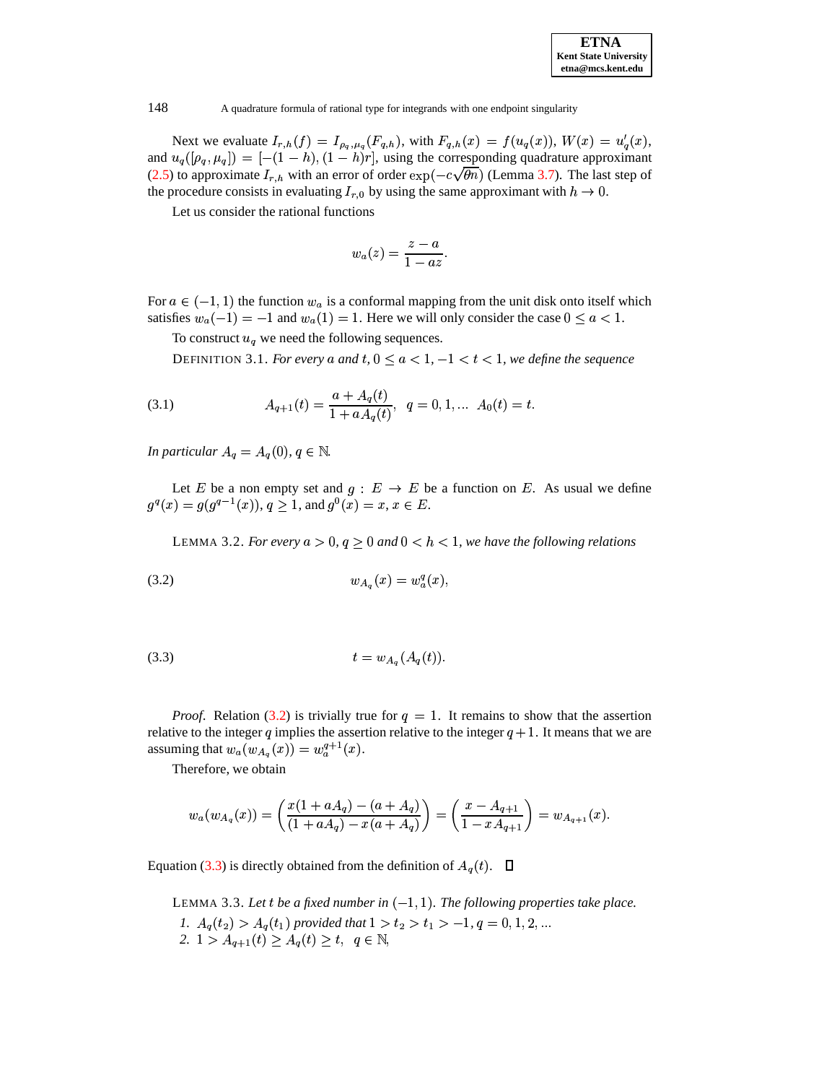| <b>ETNA</b>                  |  |  |  |  |
|------------------------------|--|--|--|--|
| <b>Kent State University</b> |  |  |  |  |
| etna@mcs.kent.edu            |  |  |  |  |

Next we evaluate  $I_{r,h}(f) = I_{\rho_q,\mu_q}(F_{q,h})$ , with  $F_{q,h}(x) = f(u_q(x)), W(x) = u_q'(x)$ , and  $u_q([\rho_q, \mu_q]) = [-(1-h),(1-h)r]$ , using the corresponding quadrature approximant [\(2.5\)](#page-3-1) to approximate  $I_{r,h}$  with an error of order  $\exp(-c\sqrt{\theta n})$  (Lemma [3.7\)](#page-8-0). The last step of the procedure consists in evaluating  $I_{r,0}$  by using the same approximant with  $h \to 0$ .

Let us consider the rational functions

<span id="page-5-4"></span><span id="page-5-0"></span>
$$
w_a(z)=\frac{z-a}{1-az}.
$$

For  $a \in (-1, 1)$  the function  $w_a$  is a conformal mapping from the unit disk onto itself which For  $a \in (-1, 1)$  the function  $w_a$  is a conformal mapping from the unit disk onto itself which satisfies  $w_a(-1) = -1$  and  $w_a(1) = 1$ . Here we will only consider the case  $0 \le a < 1$ .

To construct  $u_q$  we need the following sequences.

DEFINITION 3.1. *For every* a and  $t, 0 \le a < 1, -1 < t < 1$ , we define the sequence

(3.1) 
$$
A_{q+1}(t) = \frac{a + A_q(t)}{1 + aA_q(t)}, \quad q = 0, 1, \dots A_0(t) = t.
$$

*In particular*  $A_q = A_q(0), q \in \mathbb{N}$ .

Let E be a non empty set and  $g: E \to E$  be a function on E. As usual we define  $g^q(x) = g(g^{q-1}(x)), q \ge 1$ , and  $g^0(x) = x, x \in E$ .

<span id="page-5-6"></span>LEMMA 3.2. *For every*  $a > 0$ ,  $q \ge 0$  and  $0 < h < 1$ , we have the following relations<br>(3.2)  $w_{A_a}(x) = w_a^q(x)$ ,

<span id="page-5-1"></span>
$$
(3.2) \t\t w_{A_n}(x) = w_n^q(x),
$$

(3.3) 
$$
t = w_{A_q}(A_q(t)).
$$

*Proof.* Relation [\(3.2\)](#page-5-0) is trivially true for  $q = 1$ . It remains to show that the assertion relative to the integer q implies the assertion relative to the integer  $q + 1$ . It means that we are *Proof.* Relation (3.2) is trivially true for relative to the integer q implies the assertion rel assuming that  $w_a(w_{A_a}(x)) = w_a^{a+1}(x)$ . ion (3.2) is trivially true for  $\chi$ <br>ger q implies the assertion rel<br> $(w_A(x)) = w_2^{q+1}(x)$ .

Therefore, we obtain

$$
w_a(w_{A_q}(x)) = \left(\frac{x(1 + aA_q) - (a + A_q)}{(1 + aA_q) - x(a + A_q)}\right) = \left(\frac{x - A_{q+1}}{1 - xA_{q+1}}\right) = w_{A_{q+1}}(x).
$$

<span id="page-5-5"></span><span id="page-5-3"></span><span id="page-5-2"></span>Equation [\(3.3\)](#page-5-1) is directly obtained from the definition of  $A_q(t)$ .  $\Box$ 

LEMMA 3.3. Let *t* be a fixed number in  $(-1,1)$ . The following properties take place. *1.*  $A_q(t_2) > A_q(t_1)$  provided that  $1 > t_2 > t_1 > -1$ ,  $q = 0, 1, 2, ...$ 2.  $1 > A_{q+1}(t) \ge A_q(t) \ge t$ ,  $q \in \mathbb{N}$ ,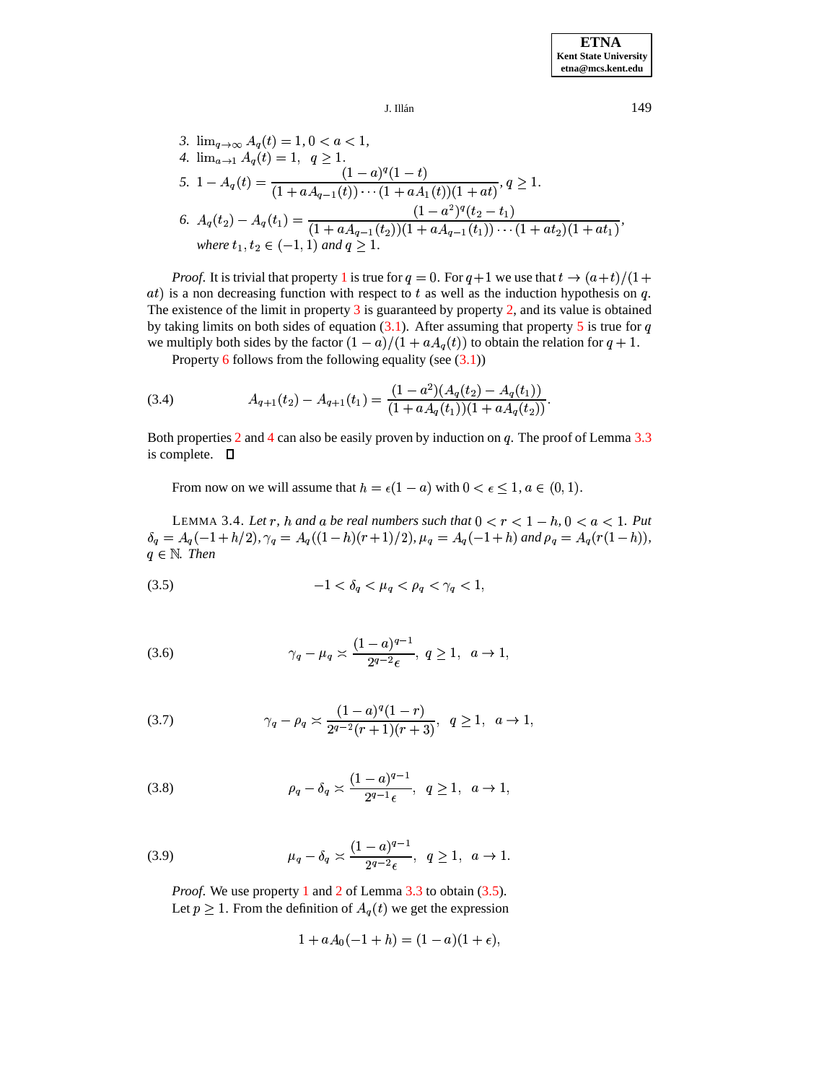$J.$  Illán $149$ 

<span id="page-6-3"></span><span id="page-6-1"></span><span id="page-6-0"></span>3. 
$$
\lim_{q \to \infty} A_q(t) = 1, 0 < a < 1
$$
,  
\n4.  $\lim_{a \to 1} A_q(t) = 1, q \ge 1$ .  
\n5.  $1 - A_q(t) = \frac{(1 - a)^q (1 - t)}{(1 + a A_{q-1}(t)) \cdots (1 + a A_1(t))(1 + at)}, q \ge 1$ .  
\n6.  $A_q(t_2) - A_q(t_1) = \frac{(1 - a^2)^q (t_2 - t_1)}{(1 + a A_{q-1}(t_2))(1 + a A_{q-1}(t_1)) \cdots (1 + at_2)(1 + at_1)},$   
\nwhere  $t_1, t_2 \in (-1, 1)$  and  $q \ge 1$ .

<span id="page-6-2"></span>*Proof.* It is trivial that property [1](#page-5-2) is true for  $q = 0$ . For  $q + 1$  we use that  $t \rightarrow (a + t)/(1 +$  $at)$  is a non decreasing function with respect to t as well as the induction hypothesis on  $q$ . The existence of the limit in property [3](#page-6-0) is guaranteed by property [2,](#page-5-3) and its value is obtained by taking limits on both sides of equation  $(3.1)$ . After assuming that property [5](#page-6-1) is true for q we multiply both sides by the factor  $(1 - a)/(1 + aA_q(t))$  to obtain the relation for  $q + 1$ .<br>Property 6 follows from the following equality (see (3.1))

Property [6](#page-6-2) follows from the following equality (see  $(3.1)$ )

(3.4) 
$$
A_{q+1}(t_2) - A_{q+1}(t_1) = \frac{(1-a^2)(A_q(t_2) - A_q(t_1))}{(1 + aA_q(t_1))(1 + aA_q(t_2))}.
$$

Both properties [2](#page-5-3) and [4](#page-6-3) can also be easily proven by induction on  $q$ . The proof of Lemma [3.3](#page-5-5) is complete.  $\Box$ 

From now on we will assume that  $h = \epsilon(1 - a)$  with  $0 < \epsilon \leq 1, a \in (0, 1)$ .

<span id="page-6-5"></span><span id="page-6-4"></span>LEMMA 3.4. Let r, h and a be real numbers such that  $0 < r < 1 - h$ ,  $0 < a < 1$ . Put  $\delta_q = A_q(-1 + h/2), \gamma_q = A_q((1-h)(r+1)/2), \mu_q = A_q(-1+h)$  and  $\rho_q = A_q(r(1-h)),$  $q \in \mathbb{N}$ . *Then* 

$$
(3.5) \t-1 < \delta_q < \mu_q < \rho_q < \gamma_q < 1,
$$

(3.6) 
$$
\gamma_q - \mu_q \asymp \frac{(1-a)^{q-1}}{2^{q-2}\epsilon}, \ q \ge 1, \ a \to 1,
$$

(3.7) 
$$
\gamma_q - \rho_q \asymp \frac{(1-a)^q (1-r)}{2^{q-2} (r+1)(r+3)}, \ \ q \ge 1, \ \ a \to 1,
$$

(3.8) 
$$
\rho_q - \delta_q \asymp \frac{(1-a)^{q-1}}{2^{q-1} \epsilon}, \ q \ge 1, \ a \to 1,
$$

(3.9) 
$$
\mu_q - \delta_q \asymp \frac{(1-a)^{q-1}}{2^{q-2}\epsilon}, \ q \ge 1, \ a \to 1.
$$

*Proof.* We use property [1](#page-5-2) and [2](#page-5-3) of Lemma [3.3](#page-5-5) to obtain [\(3.5\)](#page-6-4). Let  $p \geq 1$ . From the definition of  $A_q(t)$  we get the expression

$$
1 + aA_0(-1 + h) = (1 - a)(1 + \epsilon),
$$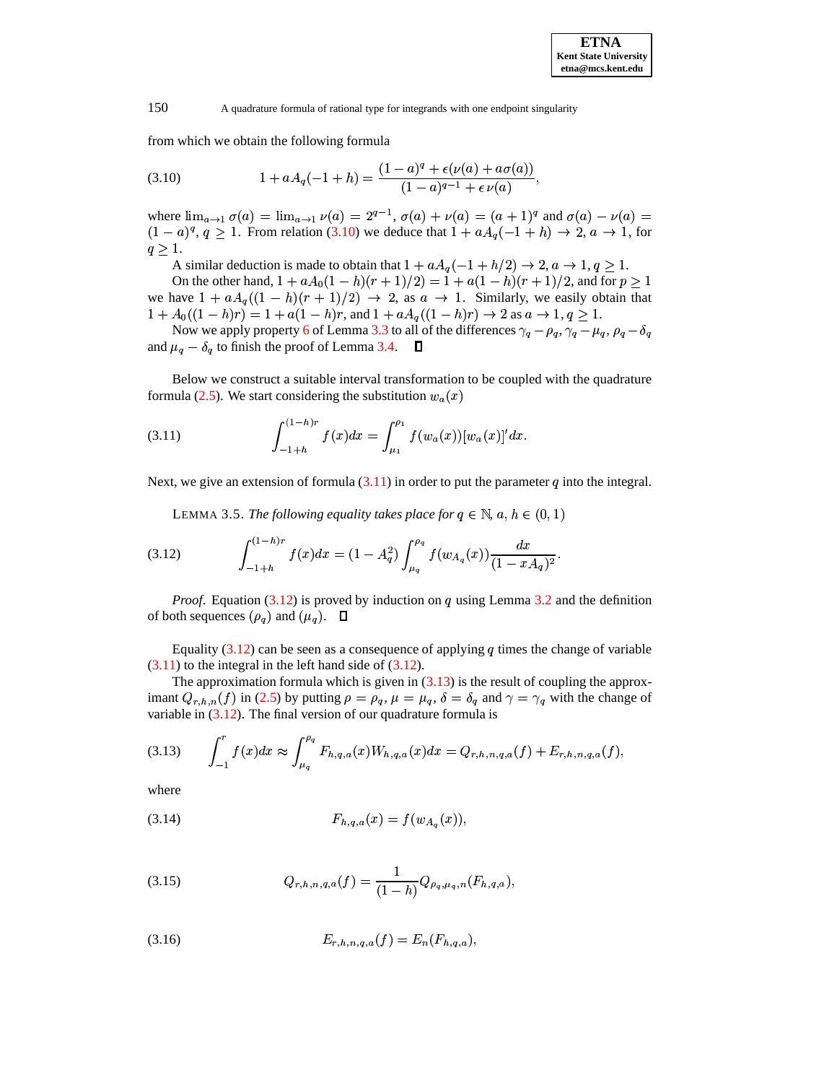<span id="page-7-0"></span>from which we obtain the following formula

(3.10) 
$$
1 + aA_q(-1+h) = \frac{(1-a)^q + \epsilon(\nu(a) + a\sigma(a))}{(1-a)^{q-1} + \epsilon \nu(a)},
$$

where  $\lim_{a \to 1} \sigma(a) = \lim_{a \to 1} \nu(a) = 2^{q-1}$ ,  $\sigma(a) + \nu(a) = (a+1)^q$  and  $\sigma(a) - \nu(a) =$  $(1-a)^q$ ,  $q \ge 1$ . From relation [\(3.10\)](#page-7-0) we deduce that  $1 + aA_q(-1 + h) \rightarrow 2$ ,  $a \rightarrow 1$ , for  $a > 1$  $q \geq 1$ .

A similar deduction is made to obtain that  $1 + aA_q(-1 + h/2) \rightarrow 2, a \rightarrow 1, q \ge 1$ .<br>On the other hand  $1 + aA_q(1-h)(r+1)/2 = 1 + q(1-h)(r+1)/2$  and for  $n > 1$ 

On the other hand,  $1 + aA_0(1-h)(r+1)/2 = 1 + a(1-h)(r+1)/2$ , and for  $p \ge 1$ <br>pave  $1 + aA_0(1-h)(r+1)/2$   $\rightarrow$  2 as  $q \rightarrow 1$ . Similarly, we easily obtain that we have  $1 + aA_q((1-h)(r+1)/2) \rightarrow 2$ , as  $a \rightarrow 1$ . Similarly, we easily obtain that  $1 + A_0((1-h)r) - 1 + a(1-h)r$  and  $1 + aA_n((1-h)r) \rightarrow 2$  as  $a \rightarrow 1$ ,  $a > 1$  $1 + A_0((1-h)r) = 1 + a(1-h)r$ , and  $1 + aA_q((1-h)r) \rightarrow 2$  as  $a \rightarrow 1, q \ge 1$ .<br>Now we apply property 6 of Lemma 3.3 to all of the differences  $\gamma = a_1 \gamma = u_1$ ,  $a_1 = \delta$ .

Now we apply property [6](#page-6-2) of Lemma [3.3](#page-5-5) to all of the differences  $\gamma_q - \rho_q$ ,  $\gamma_q - \mu_q$ ,  $\rho_q - \delta_q$ and  $\mu_q - \delta_q$  to finish the proof of Lemma [3.4.](#page-6-5)  $\Box$ 

<span id="page-7-1"></span>Below we construct a suitable interval transformation to be coupled with the quadrature Below we construct a suitable interval transformation to be coupled formula [\(2.5\)](#page-3-1). We start considering the substitution  $w_a(x)$  $|a|$   $|a|$ 

(3.11) 
$$
\int_{-1+h}^{(1-h)r} f(x)dx = \int_{\mu_1}^{\rho_1} f(w_a(x)) [w_a(x)]' dx.
$$

Next, we give an extension of formula  $(3.11)$  in order to put the parameter q into the integral.

<span id="page-7-2"></span>LEMMA 3.5. *The following equality takes place for*  $q \in \mathbb{N}$ ,  $a, h \in (0, 1)$ 

(3.12) 
$$
\int_{-1+h}^{(1-h)r} f(x) dx = (1 - A_q^2) \int_{\mu_q}^{\rho_q} f(w_{A_q}(x)) \frac{dx}{(1 - x A_q)^2}.
$$

*Proof.* Equation  $(3.12)$  is proved by induction on q using Lemma [3.2](#page-5-6) and the definition of both sequences  $(\rho_q)$  and  $(\mu_q)$ .  $\Box$ 

Equality  $(3.12)$  can be seen as a consequence of applying q times the change of variable  $(3.11)$  to the integral in the left hand side of  $(3.12)$ .

<span id="page-7-3"></span>The approximation formula which is given in  $(3.13)$  is the result of coupling the approximant  $Q_{r,h,n}(f)$  in [\(2.5\)](#page-3-1) by putting  $\rho = \rho_q$ ,  $\mu = \mu_q$ ,  $\delta = \delta_q$  and  $\gamma = \gamma_q$  with the change of variable in [\(3.12\)](#page-7-2). The final version of our quadrature formula is

$$
(3.13) \qquad \int_{-1}^{r} f(x)dx \approx \int_{\mu_q}^{\rho_q} F_{h,q,a}(x)W_{h,q,a}(x)dx = Q_{r,h,n,q,a}(f) + E_{r,h,n,q,a}(f),
$$

where

<span id="page-7-5"></span><span id="page-7-4"></span>where  
(3.14) 
$$
F_{h,q,a}(x) = f(w_{A_q}(x)),
$$

$$
(3.15) \tQ_{r,h,n,q,a}(f) = \frac{1}{(1-h)} Q_{\rho_q,\mu_q,n}(F_{h,q,a}),
$$

$$
(3.16) \t\t\t E_{r,h,n,q,a}(f) = E_n(F_{h,q,a}),
$$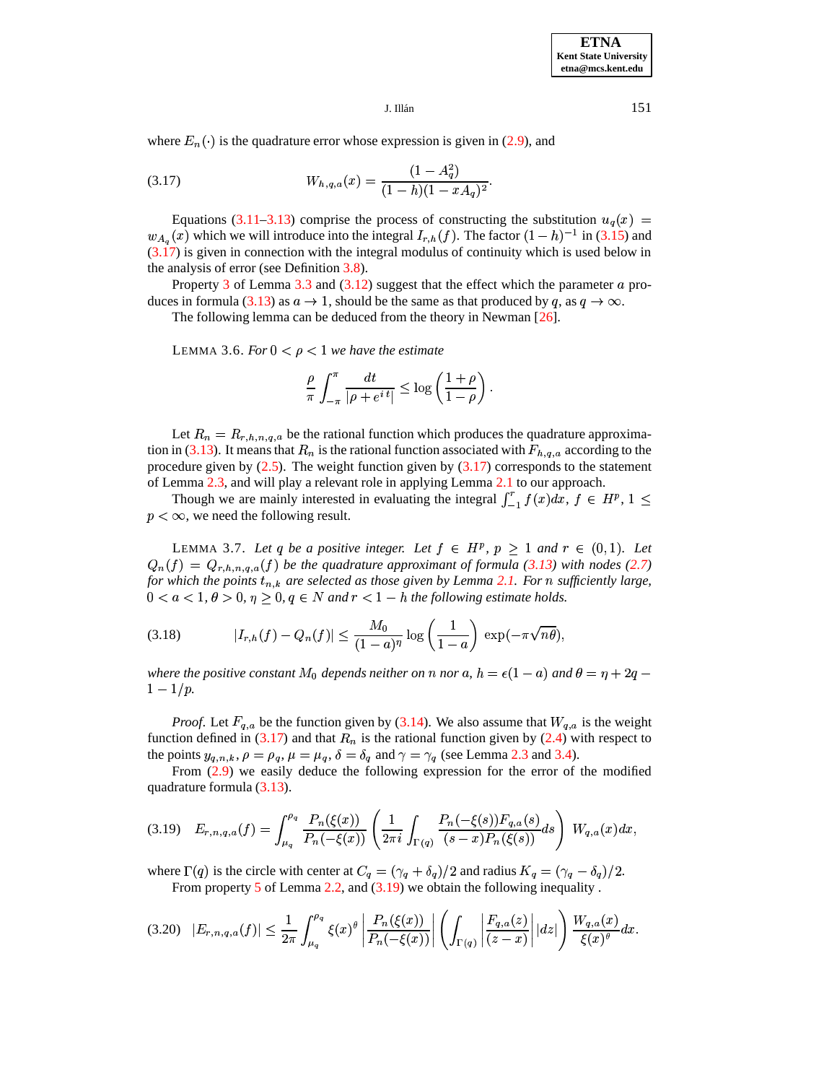## <span id="page-8-1"></span> $J.$  Illán $151$

where  $E_n(\cdot)$  is the quadrature error whose expression is given in [\(2.9\)](#page-4-1), and

(3.17) 
$$
W_{h,q,a}(x) = \frac{(1 - A_q^2)}{(1 - h)(1 - xA_q)^2}.
$$

Equations [\(3.11](#page-7-1)[–3.13\)](#page-7-3) comprise the process of constructing the substitution  $u_q(x)$  =  ${d}_{A_q}(x)$  which we will introduce into the integral  $I_{r,h}(f)$ . The factor  $(1-h)^{-1}$  in [\(3.15\)](#page-7-4) and  $(3.17)$  is given in connection with the integral modulus of continuity which is used below in the analysis of error (see Definition [3.8\)](#page-12-0).

<span id="page-8-4"></span>Property [3](#page-6-0) of Lemma [3.3](#page-5-5) and  $(3.12)$  suggest that the effect which the parameter  $\alpha$  pro-duces in formula [\(3.13\)](#page-7-3) as  $a \to 1$ , should be the same as that produced by q, as  $q \to \infty$ .

The following lemma can be deduced from the theory in Newman [\[26\]](#page-21-13).

LEMMA 3.6. *For*  $0 < \rho < 1$  *we have the estimate* 

<span id="page-8-5"></span>
$$
\frac{\rho}{\pi} \int_{-\pi}^{\pi} \frac{dt}{|\rho + e^{i t}|} \le \log \left( \frac{1 + \rho}{1 - \rho} \right).
$$

Let  $R_n = R_{r,h,n,q,a}$  be the rational function which produces the quadrature approxima-tion in [\(3.13\)](#page-7-3). It means that  $R_n$  is the rational function associated with  $F_{h,q,a}$  according to the procedure given by  $(2.5)$ . The weight function given by  $(3.17)$  corresponds to the statement of Lemma [2.3,](#page-3-2) and will play a relevant role in applying Lemma [2.1](#page-1-2) to our approach.

Though we are mainly interested in evaluating the integral  $\int_{-1}^{1} f(x) dx$ ,  $f \in H^p$ ,  $1 \leq$  $p < \infty$ , we need the following result.

<span id="page-8-0"></span>LEMMA 3.7. Let q be a positive integer. Let  $f \in H^p$ ,  $p \geq 1$  and  $r \in (0,1)$ . Let  $Q_n(f) = Q_{r,h,n,q,q}(f)$  be the quadrature approximant of formula [\(3.13\)](#page-7-3) with nodes [\(2.7\)](#page-4-3) *for* which the points  $t_{n,k}$  are selected as those given by Lemma [2.1.](#page-1-2) For n sufficiently large,  $0 < a < 1, \theta > 0, \eta \ge 0, q \in N$  and  $r < 1 - h$  the following estimate holds.

(3.18) 
$$
|I_{r,h}(f) - Q_n(f)| \le \frac{M_0}{(1-a)^{\eta}} \log \left(\frac{1}{1-a}\right) \exp(-\pi \sqrt{n\theta}),
$$

where the positive constant  $M_0$  depends neither on n nor a,  $h = \epsilon(1-a)$  and  $\theta = \eta + 2q$  $1-1/p.$ 

*Proof.* Let  $F_{q,a}$  be the function given by [\(3.14\)](#page-7-5). We also assume that  $W_{q,a}$  is the weight function defined in [\(3.17\)](#page-8-1) and that  $R_n$  is the rational function given by [\(2.4\)](#page-3-3) with respect to the points  $y_{q,n,k}$ ,  $\rho = \rho_q$ ,  $\mu = \mu_q$ ,  $\delta = \delta_q$  and  $\gamma = \gamma_q$  (see Lemma [2.3](#page-3-2) and [3.4\)](#page-6-5).

<span id="page-8-2"></span>From [\(2.9\)](#page-4-1) we easily deduce the following expression for the error of the modified quadrature formula [\(3.13\)](#page-7-3).

$$
(3.19) \quad E_{r,n,q,a}(f) = \int_{\mu_q}^{\rho_q} \frac{P_n(\xi(x))}{P_n(-\xi(x))} \left( \frac{1}{2\pi i} \int_{\Gamma(q)} \frac{P_n(-\xi(s)) F_{q,a}(s)}{(s-x) P_n(\xi(s))} ds \right) W_{q,a}(x) dx,
$$

<span id="page-8-3"></span>where  $\Gamma(q)$  is the circle with center at  $C_q = (\gamma_q + \delta_q)/2$  and radius  $K_q = (\gamma_q - \delta_q)/2$ . From property [5](#page-3-4) of Lemma [2.2,](#page-3-0) and [\(3.19\)](#page-8-2) we obtain the following inequality .

$$
(3.20) \quad |E_{r,n,q,a}(f)| \leq \frac{1}{2\pi} \int_{\mu_q}^{\rho_q} \xi(x)^{\theta} \left| \frac{P_n(\xi(x))}{P_n(-\xi(x))} \right| \left( \int_{\Gamma(q)} \left| \frac{F_{q,a}(z)}{(z-x)} \right| |dz| \right) \frac{W_{q,a}(x)}{\xi(x)^{\theta}} dx.
$$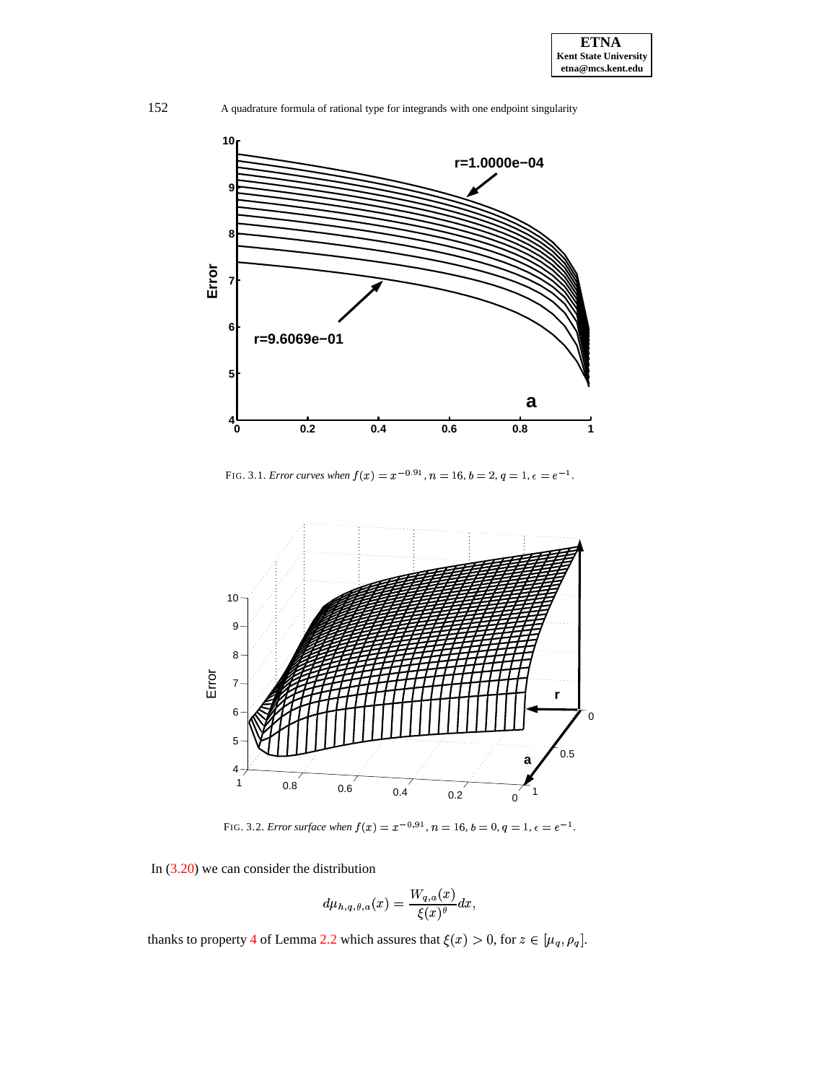

FIG. 3.1. *Error curves when*  $f(x) = x^{-0.91}$ ,  $n = 16$ ,  $b = 2$ ,  $q = 1$ ,  $\epsilon = e^{-1}$ .

<span id="page-9-0"></span>

FIG. 3.2. *Error surface when*  $f(x) = x^{-0.91}$ ,  $n = 16$ ,  $b = 0$ ,  $q = 1$ ,  $\epsilon = e^{-1}$ .

In [\(3.20\)](#page-8-3) we can consider the distribution

$$
d\mu_{h,q,\theta,a}(x)=\frac{W_{q,a}(x)}{\xi(x)^\theta}dx,
$$

thanks to property [4](#page-3-5) of Lemma [2.2](#page-3-0) which assures that  $\xi(x) > 0$ , for  $z \in [\mu_q, \rho_q]$ .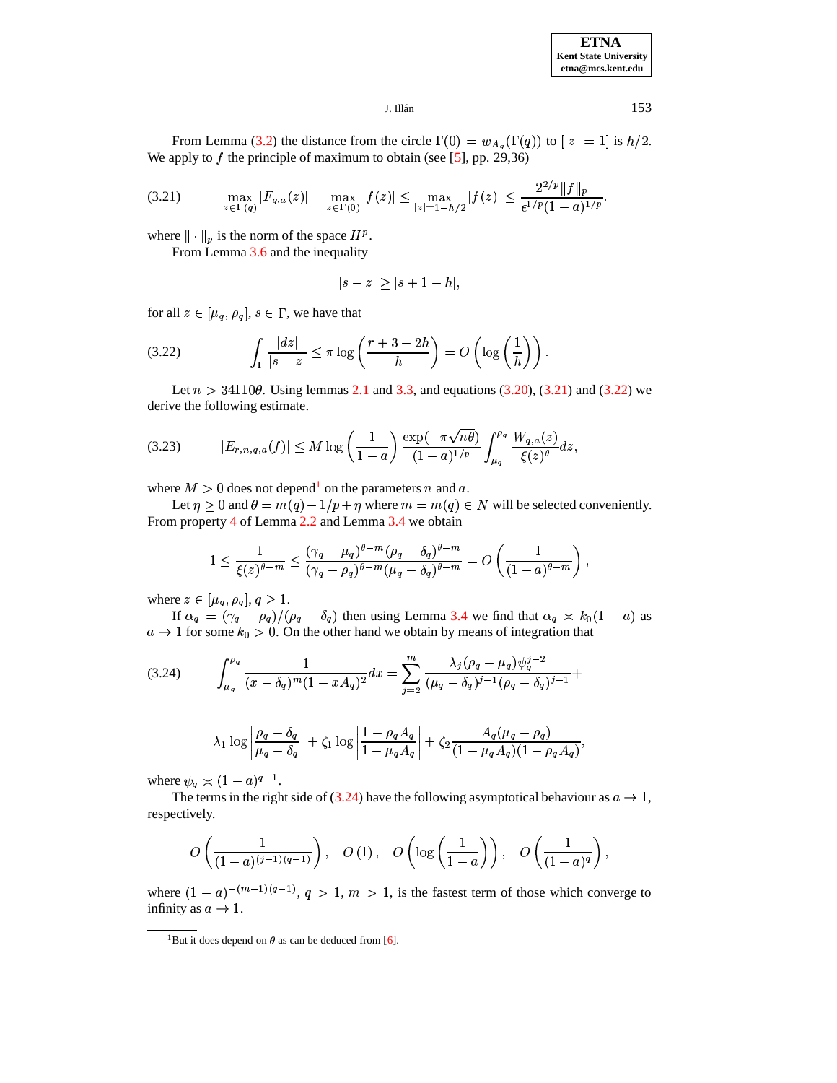

<span id="page-10-0"></span> $J.$  Illán $153$ 

 $\text{L}$  Illán 153<br>From Lemma [\(3.2\)](#page-5-6) the distance from the circle  $\Gamma(0) = w_{A_a}(\Gamma(q))$  to  $[|z| = 1]$  is  $h/2$ . We apply to  $f$  the principle of maximum to obtain (see [\[5\]](#page-20-9), pp. 29,36)

$$
\max_{z \in \Gamma(q)} |F_{q,a}(z)| = \max_{z \in \Gamma(0)} |f(z)| \le \max_{|z|=1-h/2} |f(z)| \le \frac{2^{2/p} \|f\|_p}{\epsilon^{1/p} (1-a)^{1/p}}.
$$

where  $\|\cdot\|_p$  is the norm of the space  $H^p$ .

From Lemma [3.6](#page-8-4) and the inequality

<span id="page-10-1"></span>
$$
|s-z|\geq |s+1-h|,
$$

for all  $z \in [\mu_q, \rho_q], s \in \Gamma$ , we have that

(3.22) 
$$
\int_{\Gamma} \frac{|dz|}{|s-z|} \leq \pi \log \left( \frac{r+3-2h}{h} \right) = O\left( \log \left( \frac{1}{h} \right) \right).
$$

Let  $n > 34110\theta$ . Using lemmas [2.1](#page-1-2) and [3.3,](#page-5-5) and equations [\(3.20\)](#page-8-3), [\(3.21\)](#page-10-0) and [\(3.22\)](#page-10-1) we derive the following estimate.

$$
(3.23) \t|E_{r,n,q,a}(f)| \leq M \log \left(\frac{1}{1-a}\right) \frac{\exp(-\pi \sqrt{n\theta})}{(1-a)^{1/p}} \int_{\mu_q}^{\rho_q} \frac{W_{q,a}(z)}{\xi(z)^{\theta}} dz,
$$

where  $M > 0$  does not depend<sup>[1](#page-10-2)</sup> on the parameters n and a.

Let  $\eta \geq 0$  and  $\theta = m(q) - 1/p + \eta$  where  $m = m(q) \in N$  will be selected conveniently. From property [4](#page-3-5) of Lemma [2.2](#page-3-0) and Lemma [3.4](#page-6-5) we obtain

<span id="page-10-3"></span>
$$
1 \leq \frac{1}{\xi(z)^{\theta-m}} \leq \frac{(\gamma_q - \mu_q)^{\theta-m} (\rho_q - \delta_q)^{\theta-m}}{(\gamma_q - \rho_q)^{\theta-m} (\mu_q - \delta_q)^{\theta-m}} = O\left(\frac{1}{(1-a)^{\theta-m}}\right),
$$

where  $z \in [\mu_q, \rho_q], q \geq 1$ .

If  $\alpha_q = (\gamma_q - \rho_q)/(\rho_q - \delta_q)$  then using Lemma [3.4](#page-6-5) we find that  $\alpha_q \asymp k_0(1-a)$  as  $a \to 1$  for some  $k_0 > 0$ . On the other hand we obtain by means of integration that

$$
(3.24) \qquad \int_{\mu_q}^{\rho_q} \frac{1}{(x-\delta_q)^m (1-xA_q)^2} dx = \sum_{j=2}^m \frac{\lambda_j (\rho_q - \mu_q) \psi_q^{j-2}}{(\mu_q - \delta_q)^{j-1} (\rho_q - \delta_q)^{j-1}} +
$$

$$
\lambda_1 \log \left| \frac{\rho_q - \delta_q}{\mu_q - \delta_q} \right| + \zeta_1 \log \left| \frac{1 - \rho_q A_q}{1 - \mu_q A_q} \right| + \zeta_2 \frac{A_q(\mu_q - \rho_q)}{(1 - \mu_q A_q)(1 - \rho_q A_q)},
$$

where  $\psi_q \asymp (1-a)^{q-1}$ .

The terms in the right side of [\(3.24\)](#page-10-3) have the following asymptotical behaviour as  $a \to 1$ , respectively.

$$
O\left(\frac{1}{(1-a)^{(j-1)(q-1)}}\right),\quad O\left(1\right),\quad O\left(\log\left(\frac{1}{1-a}\right)\right),\quad O\left(\frac{1}{(1-a)^q}\right),
$$

<span id="page-10-2"></span>where  $(1 - a)^{-(m-1)(q-1)}$ ,  $q > 1$ ,  $m > 1$ , is the fastest term of those which converge to infinity as  $a \rightarrow 1$ .

<sup>&</sup>lt;sup>1</sup>But it does depend on  $\theta$  as can be deduced from [\[6\]](#page-20-8).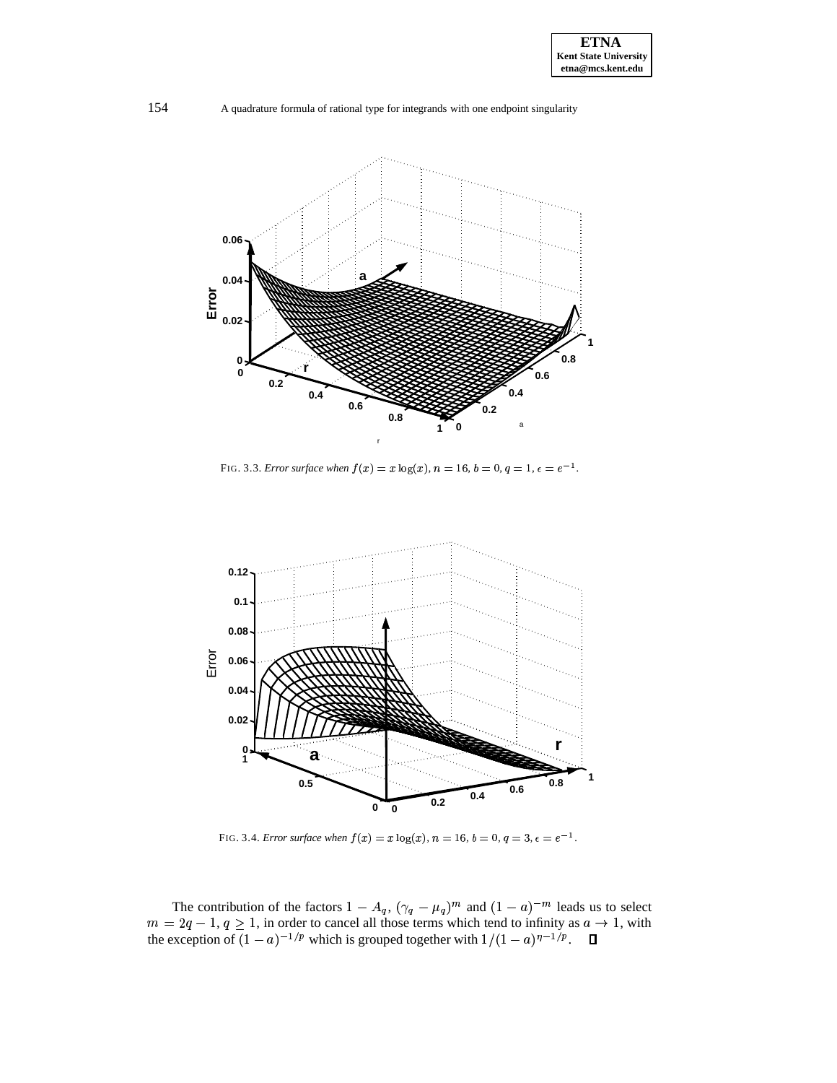

FIG. 3.3. *Error* surface when  $f(x) = x \log(x)$ ,  $n = 16$ ,  $b = 0$ ,  $q = 1$ ,  $\epsilon = e^{-1}$ .



<span id="page-11-0"></span>FIG. 3.4. *Error surface when*  $f(x) = x \log(x)$ ,  $n = 16$ ,  $b = 0$ ,  $q = 3$ ,  $\epsilon = e^{-1}$ .

The contribution of the factors  $1 - A_q$ ,  $(\gamma_q - \mu)$ #  $(q, (\gamma_q - \mu_q)^m$  and  $(1 - a)^{-m}$  leads us to select  $m=2q-1, q \geq 1$ , in order to cancel all those terms which tend to infinity as  $a \to 1$ , with the exception of  $(1 - a)^{-1/p}$  which is grouped together with  $1/(1 - a)^{\eta - 1/p}$ .  $\Box$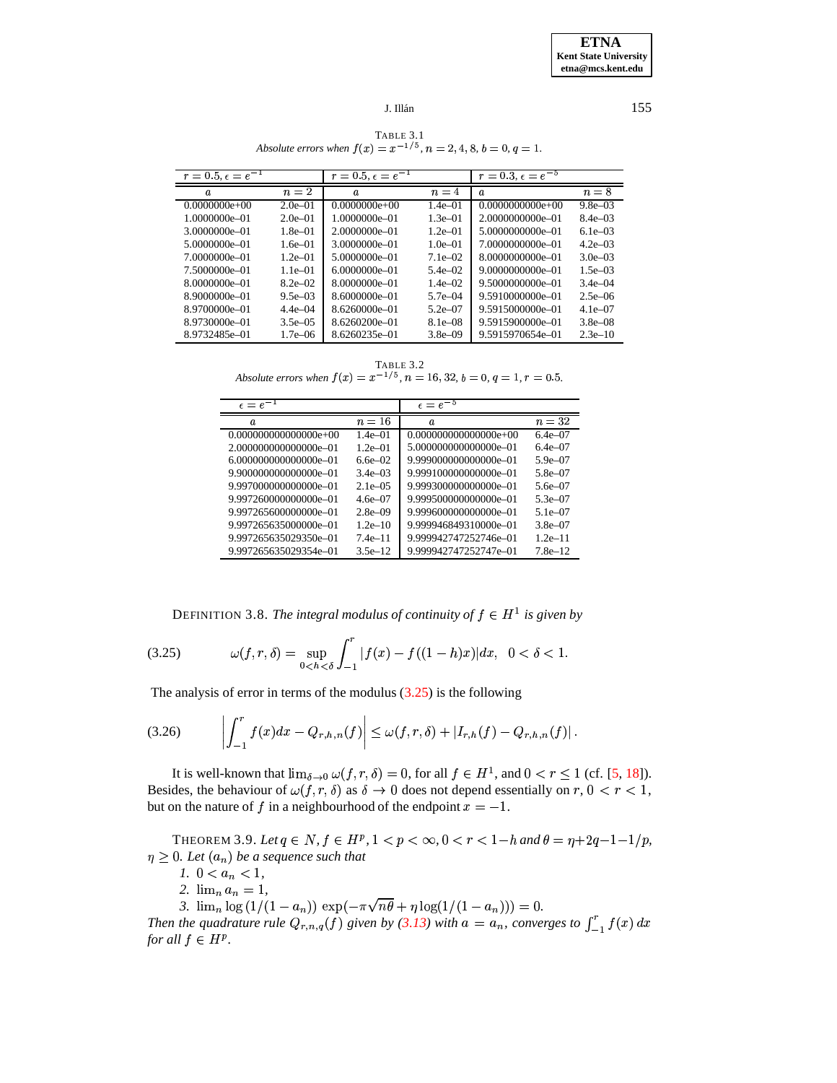TABLE 3.1 *Absolute errors when*  $f(x) = x^{-1/5}$ ,  $n = 2, 4, 8, b = 0, q = 1$ .

<span id="page-12-4"></span>

| $r = 0.5, \epsilon = e^{-1}$ |              | $r = 0.5, \epsilon = e^{-1}$ |              | $r = 0.3, \epsilon = e^{-5}$ |              |
|------------------------------|--------------|------------------------------|--------------|------------------------------|--------------|
| $\boldsymbol{a}$             | $n=2$        | $\boldsymbol{a}$             | $n=4$        | $\boldsymbol{a}$             | $n=8$        |
| $0.0000000e+00$              | $2.0e - 01$  | $0.0000000e+00$              | $1.4e - 01$  | $0.0000000000e+00$           | $9.8e - 03$  |
| 1.0000000e-01                | $2.0e - 01$  | 1.0000000e-01                | $1.3e - 01$  | 2.0000000000e-01             | $8.4e - 0.3$ |
| 3.0000000e-01                | $1.8e - 01$  | 2.0000000e-01                | $1.2e - 01$  | 5.0000000000e-01             | $6.1e - 0.3$ |
| 5.0000000e-01                | $1.6e - 01$  | 3.0000000e-01                | $1.0e - 01$  | 7.0000000000e-01             | $4.2e - 0.3$ |
| 7.0000000e-01                | $1.2e - 01$  | 5.0000000e-01                | $7.1e - 02$  | 8.0000000000e-01             | $3.0e - 03$  |
| 7.5000000e-01                | $1.1e - 01$  | 6.0000000e=01                | $5.4e - 02$  | 9.0000000000e-01             | $1.5e - 03$  |
| 8.0000000e-01                | $8.2e - 02$  | 8.0000000e-01                | $1.4e - 02$  | 9.5000000000e-01             | $3.4e - 04$  |
| 8.9000000e-01                | $9.5e - 0.3$ | 8.6000000e-01                | $5.7e - 04$  | 9.5910000000e-01             | $2.5e - 06$  |
| 8.9700000e-01                | $4.4e - 04$  | 8.6260000e-01                | $5.2e - 07$  | 9.5915000000e-01             | $4.1e - 07$  |
| 8.9730000e-01                | $3.5e - 0.5$ | 8.6260200e-01                | $8.1e - 0.8$ | 9.5915900000e-01             | $3.8e - 0.8$ |
| 8.9732485e-01                | $1.7e - 06$  | 8.6260235e-01                | $3.8e - 09$  | 9.5915970654e-01             | $2.3e-10$    |

TABLE 3.2 *Absolute errors when*  $f(x) = x^{-1/5}$ ,  $n = 16, 32, b = 0, q = 1, r = 0.5$ .

<span id="page-12-5"></span>

| $\epsilon = e^{-1}$     |                     | $\epsilon = e^{-5}$     |                     |
|-------------------------|---------------------|-------------------------|---------------------|
| a                       | $n=16$              | $\boldsymbol{a}$        | $n=32$              |
| $0.000000000000000e+00$ | $1.4e - 01$         | $0.000000000000000e+00$ | $6.4e - 07$         |
| 2.000000000000000e=01   | $1.2e - 01$         | 5.000000000000000e=01   | $6.4e - 07$         |
| 6.000000000000000e=01   | 6.6e–02             | 9.999000000000000e=01   | 5.9e $-07$          |
| 9.900000000000000e=01   | 3.4e $-03$          | 9.999100000000000e=01   | 5.8e <sub>-07</sub> |
| 9.997000000000000e-01   | $2.1e - 05$         | 9.999300000000000e-01   | 5.6e <sub>-07</sub> |
| 9.997260000000000e-01   | 4 6e <sub>-07</sub> | 9.999500000000000e-01   | $5.3e - 07$         |
| 9.997265600000000e-01   | $2.8e - 09$         | 9.999600000000000e-01   | 5.1e $-07$          |
| 9.997265635000000e-01   | $1.2e-10$           | 9.999946849310000e-01   | $3.8e - 07$         |
| 9.997265635029350e-01   | 74e–11              | 9.999942747252746e-01   | $1.2e-11$           |
| 9.997265635029354e-01   | $3.5e-12$           | 9.999942747252747e-01   | 7.8e <sub>-12</sub> |

<span id="page-12-2"></span><span id="page-12-1"></span>DEFINITION 3.8. *The integral modulus of continuity of*  $f \in H^1$  *is given by* 

<span id="page-12-0"></span>(3.25) 
$$
\omega(f,r,\delta) = \sup_{0 < h < \delta} \int_{-1}^r |f(x) - f((1-h)x)| dx, \quad 0 < \delta < 1.
$$

The analysis of error in terms of the modulus  $(3.25)$  is the following

$$
(3.26) \qquad \left| \int_{-1}^r f(x) dx - Q_{r,h,n}(f) \right| \leq \omega(f,r,\delta) + |I_{r,h}(f) - Q_{r,h,n}(f)|.
$$

It is well-known that  $\lim_{\delta \to 0} \omega(f, r, \delta) = 0$ , for all  $f \in H^1$ , and  $0 < r \le 1$  (cf. [\[5,](#page-20-9) [18\]](#page-21-16)). Besides, the behaviour of  $\omega(f, r, \delta)$  as  $\delta \to 0$  does not depend essentially on  $r, 0 < r < 1$ , but on the nature of  $f$  in a neighbourhood of the endpoint  $x = -1$ .

<span id="page-12-3"></span>THEOREM 3.9. Let  $q \in N$ ,  $f \in H^p$ ,  $1 < p < \infty$ ,  $0 < r < 1-h$  and  $\theta = \eta + 2q - 1 - 1/p$ ,  $\eta \geq 0$ . Let  $(a_n)$  be a sequence such that

*1.*  $0 < a_n < 1$ ,

- 2.  $\lim_{n} a_n = 1$ ,
- 3.  $\lim_{n} \log (1/(1-a_n)) \exp(-\pi \sqrt{n\theta + \eta \log(1/(1-a_n)))} = 0.$

*Then* the quadrature rule  $Q_{r,n,q}(f)$  given by [\(3.13\)](#page-7-3) with  $a = a_n$ , converges to  $\int_{-1}^{1} f(x) dx$ *for all*  $f \in H^p$ .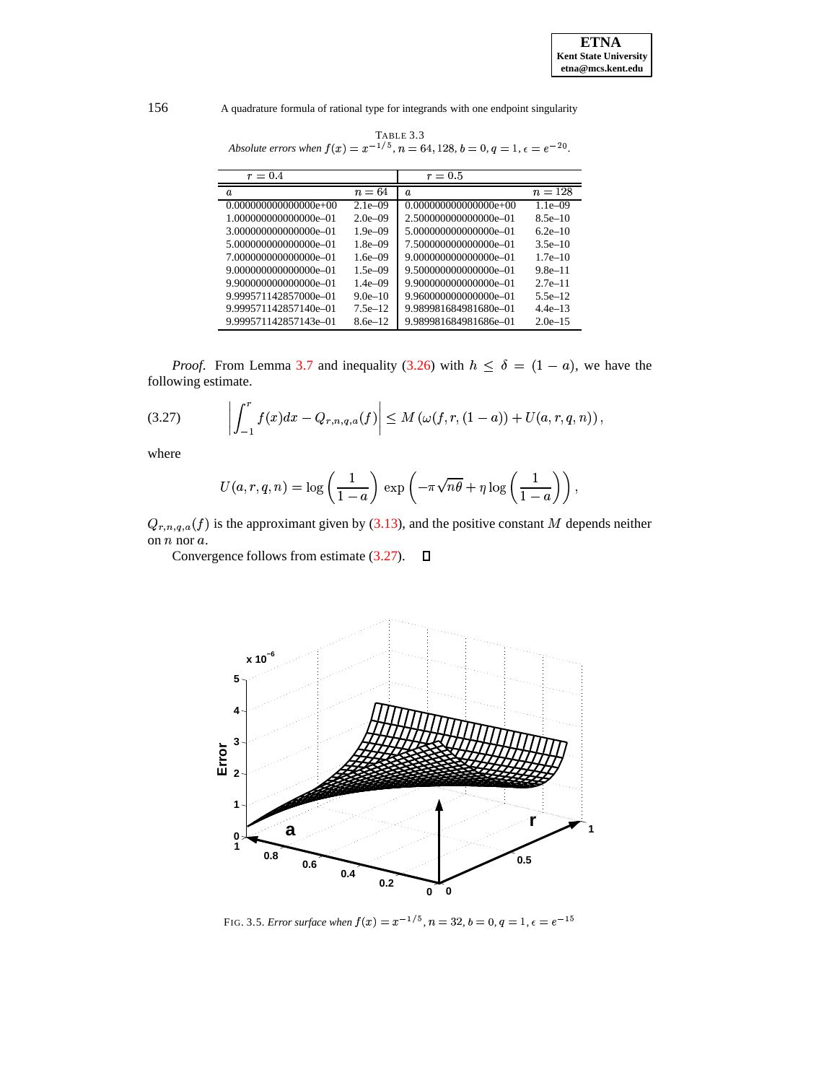| $r = 0.4$                |               | $r = 0.5$                |             |
|--------------------------|---------------|--------------------------|-------------|
| a.                       | $n=64$        | $\boldsymbol{a}$         | $n=128$     |
| $0.0000000000000000e+00$ | $2.1e - 0.09$ | $0.0000000000000000e+00$ | $1.1e - 09$ |
| 1.000000000000000e-01    | $2.0e - 09$   | 2.500000000000000e-01    | $8.5e-10$   |
| 3.000000000000000e-01    | $1.9e - 0.09$ | 5.000000000000000e=01    | $6.2e-10$   |
| 5.000000000000000e-01    | $1.8e - 09$   | 7.500000000000000e-01    | $3.5e-10$   |
| 7.000000000000000e-01    | $1.6e - 09$   | 9.000000000000000e=01    | $1.7e-10$   |
| 9.000000000000000e-01    | $1.5e - 09$   | 9.500000000000000e-01    | $9.8e-11$   |
| 9.900000000000000e-01    | $1.4e - 09$   | 9.900000000000000e=01    | $2.7e-11$   |
| 9.999571142857000e-01    | $9.0e-10$     | 9.960000000000000e-01    | $5.5e-12$   |
| 9.999571142857140e-01    | $7.5e-12$     | 9.989981684981680e-01    | $44e-13$    |
| 9.999571142857143e-01    | $8.6e-12$     | 9.989981684981686e-01    | $2.0e-15$   |

TABLE 3.3<br>Absolute errors when  $f(x) = x^{-1/5}$ ,  $n = 64$ , 128,  $b = 0$ ,  $q = 1$ ,  $\epsilon = e^{-20}$ .

<span id="page-13-0"></span>*Proof.* From Lemma 3.7 and inequality (3.26) with  $h \le \delta = (1 - a)$ , we have the following estimate.

$$
(3.27) \qquad \left| \int_{-1}^r f(x) dx - Q_{r,n,q,a}(f) \right| \le M \left( \omega(f,r,(1-a)) + U(a,r,q,n) \right),
$$

where

$$
U(a,r,q,n) = \log\left(\frac{1}{1-a}\right) \exp\left(-\pi\sqrt{n\theta} + \eta\log\left(\frac{1}{1-a}\right)\right),\,
$$

 $Q_{r,n,q,a}(f)$  is the approximant given by (3.13), and the positive constant M depends neither on  $n$  nor  $a$ .

Convergence follows from estimate  $(3.27)$ .  $\Box$ 



<span id="page-13-1"></span>FIG. 3.5. Error surface when  $f(x) = x^{-1/5}$ ,  $n = 32$ ,  $b = 0$ ,  $q = 1$ ,  $\epsilon = e^{-15}$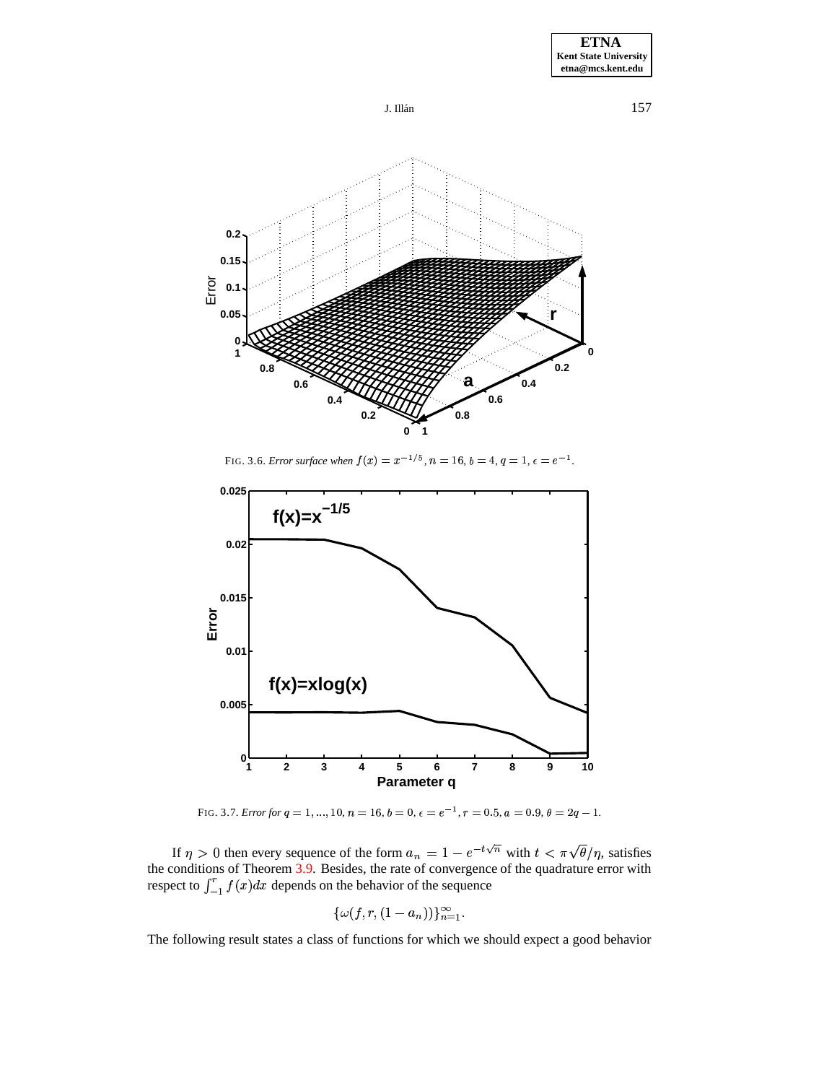





FIG. 3.6. *Error surface when*  $f(x) = x^{-1/5}$ ,  $n = 16$ ,  $b = 4$ ,  $q = 1$ ,  $\epsilon = e^{-1}$ .

<span id="page-14-1"></span>

FIG. 3.7. *Error for*  $q = 1, ..., 10, n = 16, b = 0, \epsilon = e^{-1}, r = 0.5, a = 0.9, \theta = 2q - 1$ .

<span id="page-14-0"></span>If  $\eta > 0$  then every sequence of the form  $a_n = 1 - e^{-t\sqrt{n}}$  with  $t < \pi \sqrt{\theta/\eta}$ , satisfies the conditions of Theorem [3.9.](#page-12-3) Besides, the rate of convergence of the quadrature error with respect to  $\int_{-1}^{1} f(x) dx$  depends on the behavior of the sequence

$$
\{\omega(f,r,(1-a_n))\}_{n=1}^\infty.
$$

The following result states a class of functions for which we should expect a good behavior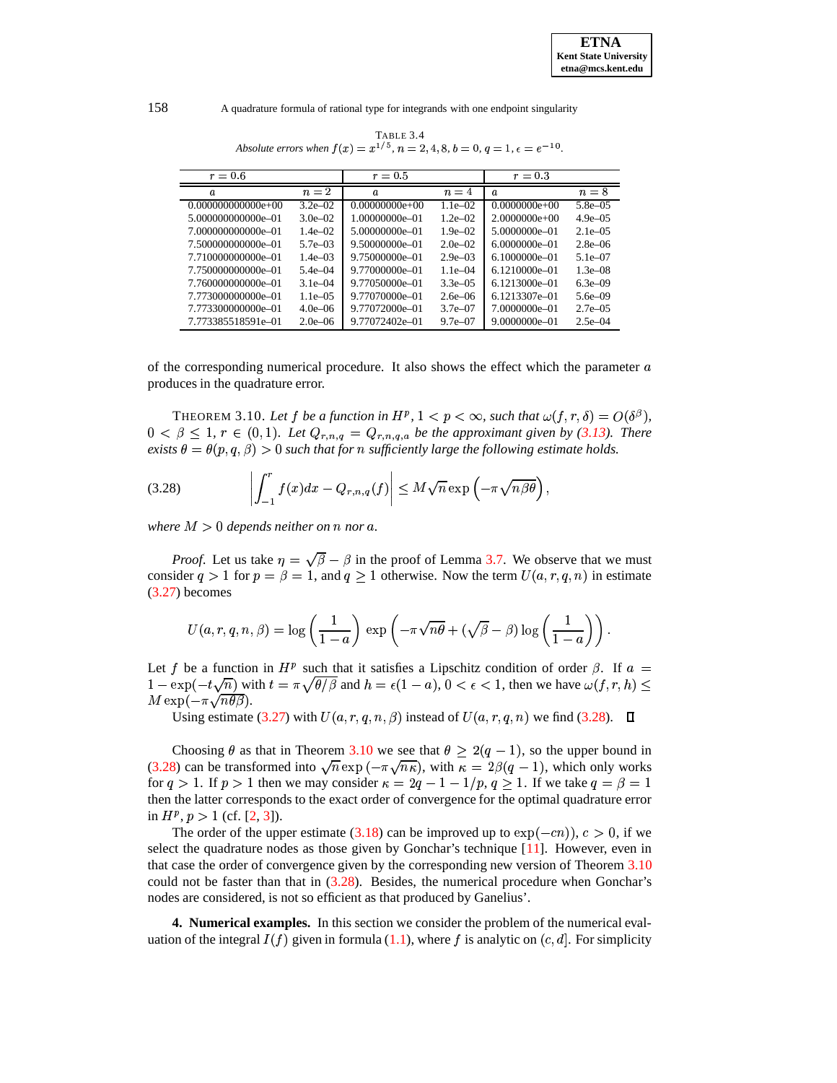<span id="page-15-1"></span>*<u>Property</u>* 

158 A quadrature formula of rational type for integrands with one endpoint singularity

| $r=0.6$              |              | $r = 0.5$        |              | $r = 0.3$         |              |
|----------------------|--------------|------------------|--------------|-------------------|--------------|
| $\boldsymbol{a}$     | $n=2$        | $\boldsymbol{a}$ | $n=4$        | $\boldsymbol{a}$  | $n=8$        |
| $0.000000000000e+00$ | $3.2e - 02$  | $0.00000000e+00$ | $1.1e-02$    | $0.0000000e+00$   | $5.8e - 0.5$ |
| 5.000000000000e-01   | $3.0e - 02$  | 1.00000000e-01   | $1.2e - 02$  | $2.0000000e+00$   | $4.9e - 0.5$ |
| 7.000000000000e-01   | $1.4e - 02$  | 5.00000000e-01   | $1.9e - 02$  | 5.0000000e-01     | $2.1e - 0.5$ |
| 7.500000000000e-01   | $5.7e - 0.3$ | 9.50000000e-01   | $2.0e - 02$  | $6.0000000e - 01$ | $2.8e - 06$  |
| 7.710000000000e-01   | $1.4e - 0.3$ | 9.75000000e-01   | $2.9e - 0.3$ | $6.1000000e - 01$ | $5.1e - 07$  |
| 7.750000000000e-01   | $5.4e - 04$  | 9.77000000e-01   | $1.1e - 0.4$ | $6.1210000e - 01$ | $1.3e - 0.8$ |
| 7.760000000000e-01   | $3.1e - 04$  | 9.77050000e-01   | $3.3e - 0.5$ | $6.1213000e - 01$ | $6.3e - 09$  |
| 7.773000000000e-01   | $1.1e - 0.5$ | 9.77070000e-01   | $2.6e - 06$  | 6.1213307e-01     | $5.6e - 09$  |
| 7.773300000000e-01   | $4.0e - 06$  | 9.77072000e-01   | $3.7e - 07$  | 7.0000000e-01     | $2.7e - 0.5$ |
| 7.773385518591e-01   | $2.0e - 06$  | 9.77072402e-01   | $9.7e - 07$  | 9.0000000e-01     | $2.5e-04$    |

TABLE 3.4 *Absolute errors* when  $f(x) = x^{1/5}$ ,  $n = 2, 4, 8, b = 0, q = 1, \epsilon = e^{-10}$ .

of the corresponding numerical procedure. It also shows the effect which the parameter  $a$ produces in the quadrature error.

<span id="page-15-2"></span>THEOREM 3.10. Let  $f$  be a function in  $H^p$ ,  $1 < p < \infty$ , such that  $\omega(f, r, \delta) = O(\delta^{\beta})$ ,  $0 < \beta \leq 1$ ,  $r \in (0,1)$ *. Let*  $Q_{r,n,q} = Q_{r,n,q,a}$  *be the approximant given by* [\(3.13\)](#page-7-3)*. There*  $\theta = \theta(p, q, \beta) > 0$  such that for *n* sufficiently large the following estimate holds.

$$
(3.28) \qquad \qquad \left| \int_{-1}^r f(x) dx - Q_{r,n,q}(f) \right| \leq M \sqrt{n} \exp \left( -\pi \sqrt{n \beta \theta} \right),
$$

where  $M > 0$  depends neither on  $n$  nor  $a$ .

*Proof.* Let us take  $\eta = \sqrt{\beta} - \beta$  in the proof of Lemma [3.7.](#page-8-0) We observe that we must consider  $q > 1$  for  $p = \beta = 1$ , and  $q \ge 1$  otherwise. Now the term  $U(a, r, q, n)$  in estimate [\(3.27\)](#page-13-0) becomes

$$
U(a,r,q,n,\beta) = \log\left(\frac{1}{1-a}\right)\,\exp\left(-\pi\sqrt{n\theta} + (\sqrt{\beta}-\beta)\log\left(\frac{1}{1-a}\right)\right).
$$

Let f be a function in  $H^p$  such that it satisfies a Lipschitz condition of order  $\beta$ . If  $a =$  $1 - \exp(-t\sqrt{n})$  with  $t = \pi \sqrt{\theta/\beta}$  and  $h = \epsilon(1-a)$ ,  $0 < \epsilon < 1$ , then we have  $\omega(f, r, h) \leq$  $M \exp(-\pi \sqrt{n\theta \beta}).$ 

Using estimate [\(3.27\)](#page-13-0) with  $U(a, r, q, n, \beta)$  instead of  $U(a, r, q, n)$  we find [\(3.28\)](#page-15-1).

Choosing  $\theta$  as that in Theorem [3.10](#page-15-2) we see that  $\theta \geq 2(q - 1)$ , so the upper bound in [\(3.28\)](#page-15-1) can be transformed into  $\sqrt{n} \exp(-\pi \sqrt{n\kappa})$ , with  $\kappa = 2\beta(q-1)$ , which only works for  $q > 1$ . If  $p > 1$  then we may consider  $\kappa = 2q - 1 - 1/p$ ,  $q \ge 1$ . If we take  $q = \beta = 1$ then the latter corresponds to the exact order of convergence for the optimal quadrature error in  $H^p$ ,  $p > 1$  (cf. [\[2,](#page-20-6) [3\]](#page-20-7)).

The order of the upper estimate [\(3.18\)](#page-8-5) can be improved up to  $\exp(-cn)$ ),  $c > 0$ , if we select the quadrature nodes as those given by Gonchar's technique [\[11\]](#page-21-14). However, even in that case the order of convergence given by the corresponding new version of Theorem [3.10](#page-15-2) could not be faster than that in [\(3.28\)](#page-15-1). Besides, the numerical procedure when Gonchar's nodes are considered, is not so efficient as that produced by Ganelius'.

<span id="page-15-0"></span>**4. Numerical examples.** In this section we consider the problem of the numerical evaluation of the integral  $I(f)$  given in formula [\(1.1\)](#page-0-0), where f is analytic on  $(c, d]$ . For simplicity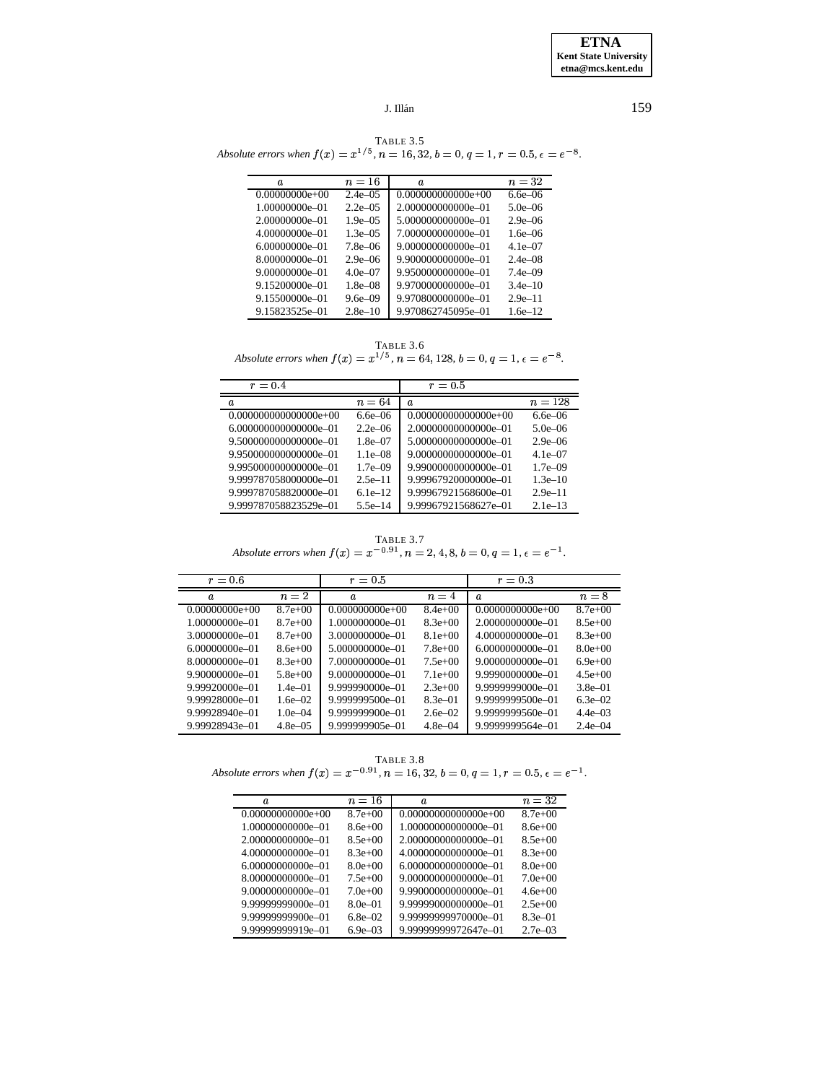TABLE 3.5<br>Absolute errors when  $f(x) = x^{1/5}$ ,  $n = 16, 32, b = 0, q = 1, r = 0.5, \epsilon = e^{-8}$ .

| Ω.               | $n=16$       | a.                   | $n=32$              |
|------------------|--------------|----------------------|---------------------|
| $0.00000000e+00$ | $2.4e - 0.5$ | $0.000000000000e+00$ | $6.6e - 06$         |
| 1.00000000e-01   | $2.2e - 05$  | 2.000000000000e-01   | 5.0e <sub>-06</sub> |
| 2.00000000e-01   | $1.9e - 05$  | 5.000000000000e-01   | $2.9e - 06$         |
| 4.00000000e-01   | $1.3e - 0.5$ | 7.000000000000e-01   | $1.6e - 06$         |
| 6.00000000e=01   | $7.8e - 06$  | 9.000000000000e-01   | 4.1e $-07$          |
| 8.00000000e-01   | $2.9e - 06$  | 9.900000000000e-01   | $2.4e - 0.8$        |
| 9.00000000e-01   | $4.0e - 07$  | 9.950000000000e-01   | $7.4e - 09$         |
| 9.15200000e-01   | $1.8e - 0.8$ | 9.970000000000e-01   | $3.4e-10$           |
| 9.15500000e-01   | $9.6e - 09$  | 9.970800000000e-01   | $2.9e-11$           |
| 9.15823525e-01   | $2.8e-10$    | 9.970862745095e-01   | $1.6e-12.$          |

TABLE 3.6<br>Absolute errors when  $f(x) = x^{1/5}$ ,  $n = 64$ , 128,  $b = 0$ ,  $q = 1$ ,  $\epsilon = e^{-8}$ .

| $r=0.4$                  |              | $r=0.5$                |             |
|--------------------------|--------------|------------------------|-------------|
| a.                       | $n=64$       | a.                     | $n = 128$   |
|                          |              |                        |             |
| $0.0000000000000000e+00$ | $6.6e - 06$  | $0.00000000000000e+00$ | $6.6e - 06$ |
| 6.000000000000000e=01    | $2.2e - 06$  | 2.00000000000000e-01   | $5.0e - 06$ |
| 9.500000000000000e=01    | $1.8e - 07$  | 5.00000000000000e=01   | $2.9e - 06$ |
| 9.950000000000000e-01    | $1.1e - 0.8$ | 9.00000000000000e-01   | $4.1e - 07$ |
| 9.995000000000000e-01    | $1.7e - 09$  | 9.99000000000000e-01   | $1.7e - 09$ |
| 9.999787058000000e-01    | $2.5e-11$    | 9.99967920000000e-01   | $1.3e-10$   |
| 9.999787058820000e-01    | $6.1e-12$    | 9.99967921568600e-01   | $2.9e-11$   |
| 9.999787058823529e-01    | $5.5e-14$    | 9.99967921568627e-01   | $2.1e-13$   |

TABLE 3.7<br>Absolute errors when  $f(x) = x^{-0.91}$ ,  $n = 2, 4, 8, b = 0, q = 1, \epsilon = e^{-1}$ .

| $r=0.6$          |              | $r = 0.5$         |              | $r = 0.3$            |              |
|------------------|--------------|-------------------|--------------|----------------------|--------------|
| $\boldsymbol{a}$ | $n=2$        | $\boldsymbol{a}$  | $n=4$        | $\boldsymbol{a}$     | $n=8$        |
| $0.00000000e+00$ | $8.7e+00$    | $0.000000000e+00$ | $8.4e+00$    | $0.0000000000e+00$   | $8.7e+00$    |
| 1.00000000e-01   | $8.7e+00$    | 1.000000000e-01   | $8.3e+00$    | 2.0000000000e-01     | $8.5e+00$    |
| 3.00000000e=01   | $8.7e+00$    | 3.000000000e-01   | $8.1e+00$    | 4.0000000000e-01     | $8.3e+00$    |
| 6.00000000e=01   | $8.6e+00$    | 5.000000000e-01   | $7.8e+00$    | $6.0000000000e - 01$ | $8.0e+00$    |
| 8.00000000e=01   | $8.3e+00$    | 7.000000000e=01   | $7.5e+00$    | 9.0000000000e-01     | $6.9e+00$    |
| 9.90000000e-01   | $5.8e+00$    | 9.000000000e=01   | $7.1e+00$    | 9.9990000000e-01     | $4.5e+00$    |
| 9.99920000e-01   | $1.4e - 01$  | 9.999990000e-01   | $2.3e+00$    | 9.9999999000e-01     | $3.8e - 01$  |
| 9.99928000e-01   | $1.6e - 02$  | 9.999999500e-01   | $8.3e - 01$  | 9.9999999500e-01     | $6.3e - 02$  |
| 9.99928940e-01   | 1.0e $-04$   | 9.999999900e-01   | $2.6e - 02.$ | 9.9999999560e-01     | $4.4e - 0.3$ |
| 9.99928943e-01   | $4.8e - 0.5$ | 9.999999905e-01   | $4.8e - 04$  | 9.9999999564e-01     | $2.4e - 04$  |

TABLE 3.8<br>Absolute errors when  $f(x) = x^{-0.91}$ ,  $n = 16, 32, b = 0, q = 1, r = 0.5, \epsilon = e^{-1}$ .

| a.                  | $n = 16$    | Ω.                     | $n = 32$    |
|---------------------|-------------|------------------------|-------------|
| $0.00000000000e+00$ | $8.7e+00$   | $0.00000000000000e+00$ | $8.7e+00$   |
| 1.00000000000e-01   | $8.6e + 00$ | 1.00000000000000e=01   | $8.6e+00$   |
| 2.00000000000e=01   | $8.5e+00$   | 2.00000000000000e=01   | $8.5e+00$   |
| 4.00000000000e-01   | $8.3e+00$   | 4.00000000000000e-01   | $8.3e+00$   |
| 6.00000000000e=01   | $8.0e+00$   | 6.00000000000000e-01   | $8.0e+00$   |
| 8.00000000000e-01   | $7.5e+00$   | 9.00000000000000e-01   | $7.0e+00$   |
| 9.00000000000e-01   | $7.0e+00$   | 9.99000000000000e-01   | $4.6e+00$   |
| 9.99999999000e-01   | $8.0e - 01$ | 9.99999000000000e-01   | $2.5e+00$   |
| 9.99999999900e-01   | $6.8e - 02$ | 9.99999999970000e-01   | 8.3e-01     |
| 9.99999999919e-01   | $6.9e - 03$ | 9.99999999972647e-01   | $2.7e - 03$ |

159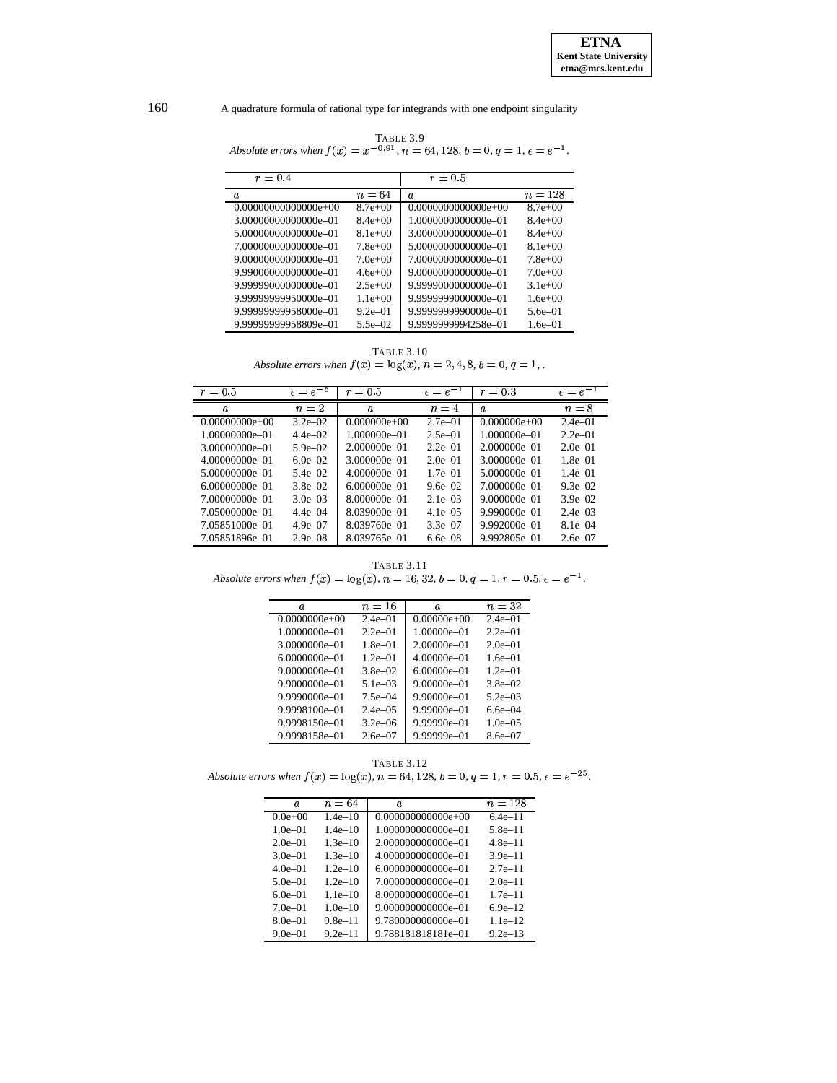| TABLE 3.9                                                                                           |
|-----------------------------------------------------------------------------------------------------|
| Absolute errors when $f(x) = x^{-0.91}$ , $n = 64, 128$ , $b = 0$ , $q = 1$ , $\epsilon = e^{-1}$ . |

| $r=0.4$                |             | $r = 0.5$             |               |
|------------------------|-------------|-----------------------|---------------|
| a.                     | $n = 64$    | a.                    | $n = 128$     |
| $0.00000000000000e+00$ | $8.7e+00$   | $0.0000000000000e+00$ | $8.7e+00$     |
| 3.00000000000000e-01   | $8.4e+00$   | 1.0000000000000e-01   | $8.4e+00$     |
| 5.00000000000000e=01   | $8.1e+00$   | 3.0000000000000e=01   | $8.4e+00$     |
| 7.00000000000000e=01   | $7.8e+00$   | 5.0000000000000e=01   | $8.1e+00$     |
| 9.00000000000000e=01   | $7.0e+00$   | 7.0000000000000e=01   | $7.8e+00$     |
| 9.99000000000000e=01   | $4.6e+00$   | 9.0000000000000e=01   | $7.0e+00$     |
| 9.99999000000000e-01   | $2.5e+00$   | 9.9999000000000e-01   | 3.1e $\pm$ 00 |
| 9.99999999950000e-01   | $1.1e+00$   | 9.9999999000000e-01   | $1.6e + 00$   |
| 9.99999999958000e-01   | $9.2e - 01$ | 9.999999990000e=01    | 5.6e-01       |
| 9.99999999958809e-01   | $5.5e - 02$ | 9.9999999994258e-01   | $1.6e - 01$   |

TABLE  $3.10\,$ Absolute errors when  $f(x) = \log(x)$ ,  $n = 2, 4, 8, b = 0, q = 1$ .

| $r = 0.5$          | $\epsilon = e^{-5}$ | $r = 0.5$        | $\epsilon = e^-$ | $r=0.3$          | $\epsilon = e^{-1}$ |
|--------------------|---------------------|------------------|------------------|------------------|---------------------|
| a.                 | $n=2$               | a.               | $n=4$            | a.               | $n=8$               |
| $0.00000000e+00$   | $3.2e - 02$         | $0.000000e+00$   | $2.7e - 01$      | $0.000000e+00$   | $2.4e - 01$         |
| 1.00000000e-01     | $4.4e - 02$         | 1.000000e-01     | $2.5e - 01$      | 1.000000e-01     | $2.2e-01$           |
| 3.00000000e-01     | $5.9e - 02$         | 2.000000e-01     | $2.2e-01$        | $2.000000e - 01$ | $2.0e - 01$         |
| 4.00000000e-01     | $6.0e - 02.$        | 3.000000e-01     | $2.0e - 01$      | 3.000000e-01     | $1.8e - 01$         |
| 5.00000000e-01     | $5.4e - 02$         | 4.000000e-01     | $1.7e - 01$      | 5.000000e-01     | $1.4e - 01$         |
| $6.00000000e - 01$ | $3.8e - 02$         | $6.000000e - 01$ | 9.6e $-02$       | 7.000000e-01     | $9.3e - 02$         |
| 7.00000000e-01     | $3.0e - 0.3$        | 8.000000e-01     | $2.1e - 0.3$     | $9.000000e - 01$ | $3.9e - 02$         |
| 7.05000000e-01     | $4.4e - 04$         | 8.039000e-01     | $4.1e - 0.5$     | 9.990000e-01     | $2.4e - 0.3$        |
| 7.05851000e-01     | $4.9e - 07$         | 8.039760e-01     | $3.3e - 07$      | $9.992000e - 01$ | $8.1e - 04$         |
| 7.05851896e-01     | $2.9e - 0.8$        | 8.039765e-01     | $6.6e - 0.8$     | 9.992805e-01     | $2.6e - 07$         |

**TABLE 3.11** Absolute errors when  $f(x) = \log(x)$ ,  $n = 16, 32$ ,  $b = 0$ ,  $q = 1$ ,  $r = 0.5$ ,  $\epsilon = e^{-1}$ .

| a.                | $n=16$      | a.              | $n=32$      |
|-------------------|-------------|-----------------|-------------|
| $0.0000000e+00$   | $2.4e - 01$ | $0.00000e+00$   | $2.4e - 01$ |
| 1.0000000e-01     | $2.2e-01$   | $1.00000e - 01$ | $2.2e-01$   |
| 3.0000000e-01     | $1.8e - 01$ | $2.00000e - 01$ | $2.0e - 01$ |
| $6.0000000e - 01$ | $1.2e - 01$ | $4.00000e - 01$ | $1.6e - 01$ |
| $9.0000000e - 01$ | $3.8e - 02$ | $6.00000e - 01$ | $1.2e-01$   |
| $9.9000000e - 01$ | $5.1e - 03$ | $9.00000e - 01$ | $3.8e - 02$ |
| $9.9990000e - 01$ | $7.5e - 04$ | $9.90000e - 01$ | $5.2e - 03$ |
| 9.9998100e-01     | $2.4e - 05$ | $9.99000e - 01$ | б бе–04     |
| 9.9998150e-01     | $3.2e - 06$ | $9.99990e - 01$ | $1.0e - 05$ |
| 9.9998158e-01     | 2.6e-07     | 9.99999e-01     | 8.6e-07     |

TABLE  $3.12\,$ Absolute errors when  $f(x) = \log(x)$ ,  $n = 64, 128$ ,  $b = 0$ ,  $q = 1$ ,  $r = 0.5$ ,  $\epsilon = e^{-25}$ .

| Ω.          | $n=64$      | a.                   | $n = 128$  |
|-------------|-------------|----------------------|------------|
| $0.0e+0.0$  | $1.4e-10$   | $0.000000000000e+00$ | 6.4e–11    |
| $1.0e - 01$ | $1.4e-10$   | 1.000000000000e-01   | $5.8e-11$  |
| $2.0e - 01$ | $1.3e-10$   | 2.000000000000e-01   | $4.8e-11$  |
| 3.0e $-01$  | $1.3e-10$   | 4.000000000000e-01   | $3.9e-11$  |
| $4.0e - 01$ | $1.2e-10$   | 6.000000000000e-01   | $2.7e-11$  |
| $5.0e - 01$ | $1.2e-10$   | 7.000000000000e-01   | $2.0e-11$  |
| 6.0e=01     | $1.1e-10$   | 8.000000000000e-01   | $1.7e-11$  |
| 7.0e-01     | $1.0e-10$   | 9.000000000000e-01   | $6.9e-12$  |
| 8.0e-01     | $9.8e-11$   | 9.780000000000e-01   | $1.1e-12.$ |
| $9.0e - 01$ | $9.2e - 11$ | 9.788181818181e-01   | $9.2e-13$  |

160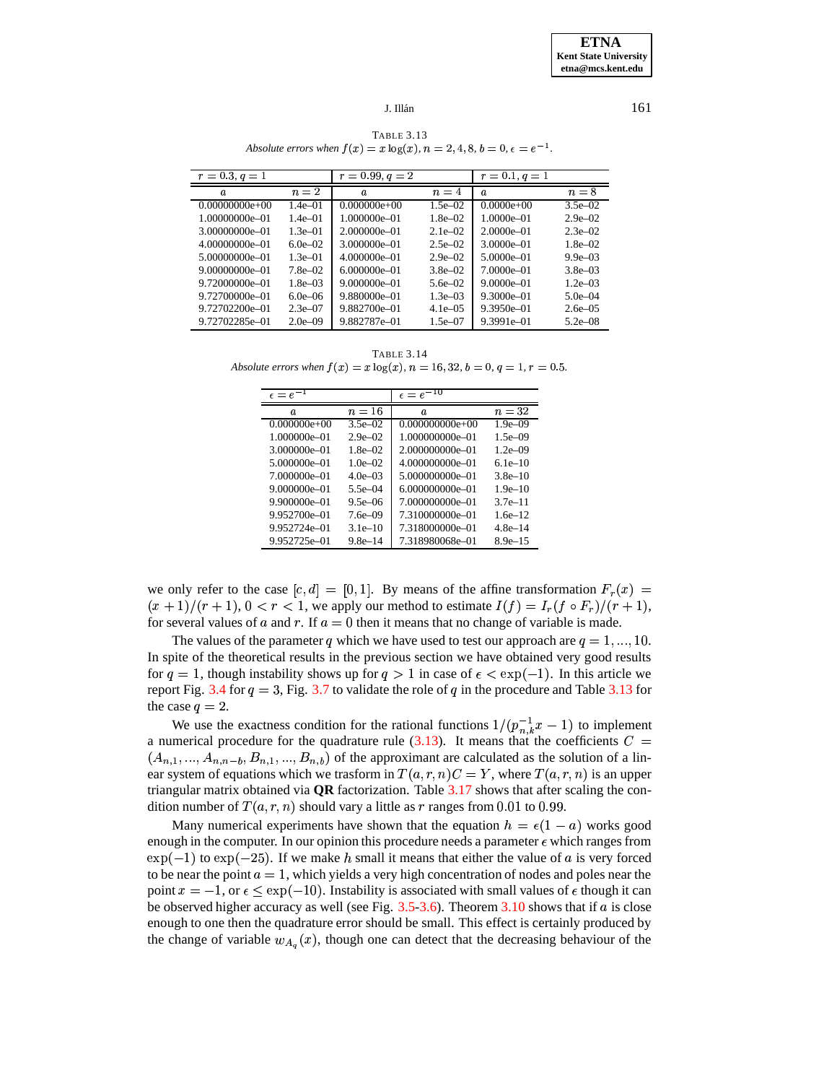**TABLE 3.13** Absolute errors when  $f(x) = x \log(x)$ ,  $n = 2, 4, 8, b = 0, \epsilon = e^{-1}$ .

<span id="page-18-0"></span>

| $r = 0.3, q = 1$   |              | $r = 0.99, q = 2$ |              | $r = 0.1, q = 1$ |              |
|--------------------|--------------|-------------------|--------------|------------------|--------------|
| a.                 | $n=2$        | a.                | $n=4$        | a.               | $n=8$        |
| $0.00000000e+00$   | $1.4e - 01$  | $0.000000e+00$    | $1.5e - 02$  | $0.0000e+00$     | $3.5e - 02$  |
| 1.00000000e-01     | $1.4e - 01$  | 1.000000e-01      | $1.8e - 02$  | $1.0000e - 01$   | $2.9e - 02$  |
| 3.00000000e-01     | $1.3e - 01$  | 2.000000e-01      | $2.1e - 02$  | $2.0000e - 01$   | $2.3e - 02$  |
| 4.00000000e-01     | $6.0e - 02$  | 3.000000e-01      | $2.5e - 02$  | $3.0000e - 01$   | $1.8e - 02$  |
| 5.00000000e-01     | $1.3e - 01$  | 4.000000e-01      | $2.9e - 02$  | $5.0000e - 01$   | $9.9e - 03$  |
| $9.00000000e - 01$ | $7.8e - 02$  | $6.000000e - 01$  | $3.8e - 02$  | 7.0000e-01       | $3.8e - 03$  |
| 9.72000000e-01     | $1.8e - 0.3$ | $9.000000e - 01$  | $5.6e - 02$  | $9.0000e - 01$   | $1.2e - 0.3$ |
| 9.72700000e-01     | $6.0e - 06$  | 9.880000e-01      | $1.3e - 0.3$ | $9.3000e - 01$   | $5.0e - 04$  |
| 9.72702200e-01     | $2.3e - 07$  | 9.882700e-01      | $4.1e - 0.5$ | $9.3950e - 01$   | $2.6e - 0.5$ |
| 9.72702285e-01     | $2.0e - 09$  | 9.882787e-01      | $1.5e - 07$  | 9.3991e-01       | $5.2e - 08$  |

**TABLE 3.14** Absolute errors when  $f(x) = x \log(x)$ ,  $n = 16, 32, b = 0, q = 1, r = 0.5$ .

| $\epsilon = e^{-1}$ |              | $\epsilon = e^{-10}$ |               |
|---------------------|--------------|----------------------|---------------|
| a.                  | $n = 16$     | a.                   | $n=32$        |
| $0.000000e+00$      | $3.5e - 02$  | $0.000000000e+00$    | $1.9e - 0.09$ |
| 1.000000e-01        | $2.9e - 02$  | 1.000000000e-01      | $1.5e - 09$   |
| 3.000000e-01        | $1.8e - 02.$ | 2.000000000e-01      | $1.2e - 09$   |
| 5.000000e-01        | $1.0e - 02.$ | 4.000000000e-01      | $6.1e-10$     |
| 7.000000e-01        | $4.0e - 03$  | 5.000000000e-01      | $3.8e - 10$   |
| $9.000000e - 01$    | 5.5e $-04$   | $6.000000000e - 01$  | $1.9e - 10$   |
| 9.900000e-01        | $9.5e - 06$  | 7.000000000e-01      | $3.7e - 11$   |
| 9.952700e-01        | $7.6e - 09$  | 7.310000000e-01      | $1.6e-12$     |
| 9.952724e-01        | $3.1e-10$    | 7.318000000e-01      | $4.8e-14$     |
| 9.952725e-01        | $9.8e - 14$  | 7.318980068e-01      | $8.9e - 15$   |

we only refer to the case  $[c, d] = [0, 1]$ . By means of the affine transformation  $F_r(x)$  $(x+1)/(r+1)$ ,  $0 < r < 1$ , we apply our method to estimate  $I(f) = I_r(f \circ F_r)/(r+1)$ , for several values of a and r. If  $a = 0$  then it means that no change of variable is made.

The values of the parameter q which we have used to test our approach are  $q = 1, ..., 10$ . In spite of the theoretical results in the previous section we have obtained very good results for  $q = 1$ , though instability shows up for  $q > 1$  in case of  $\epsilon < \exp(-1)$ . In this article we report Fig. 3.4 for  $q = 3$ , Fig. 3.7 to validate the role of q in the procedure and Table 3.13 for the case  $q=2$ .

We use the exactness condition for the rational functions  $1/(p_{n,k}^{-1}x-1)$  to implement a numerical procedure for the quadrature rule (3.13). It means that the coefficients  $C =$  $(A_{n,1},..., A_{n,n-b}, B_{n,1},..., B_{n,b})$  of the approximant are calculated as the solution of a linear system of equations which we trasform in  $T(a, r, n)C = Y$ , where  $T(a, r, n)$  is an upper triangular matrix obtained via  $QR$  factorization. Table  $3.17$  shows that after scaling the condition number of  $T(a, r, n)$  should vary a little as r ranges from 0.01 to 0.99.

Many numerical experiments have shown that the equation  $h = \epsilon(1 - a)$  works good enough in the computer. In our opinion this procedure needs a parameter  $\epsilon$  which ranges from  $\exp(-1)$  to  $\exp(-25)$ . If we make h small it means that either the value of a is very forced to be near the point  $a = 1$ , which yields a very high concentration of nodes and poles near the point  $x = -1$ , or  $\epsilon \le \exp(-10)$ . Instability is associated with small values of  $\epsilon$  though it can be observed higher accuracy as well (see Fig.  $3.5$ -3.6). Theorem  $3.10$  shows that if a is close enough to one then the quadrature error should be small. This effect is certainly produced by the change of variable  $w_{A_q}(x)$ , though one can detect that the decreasing behaviour of the

161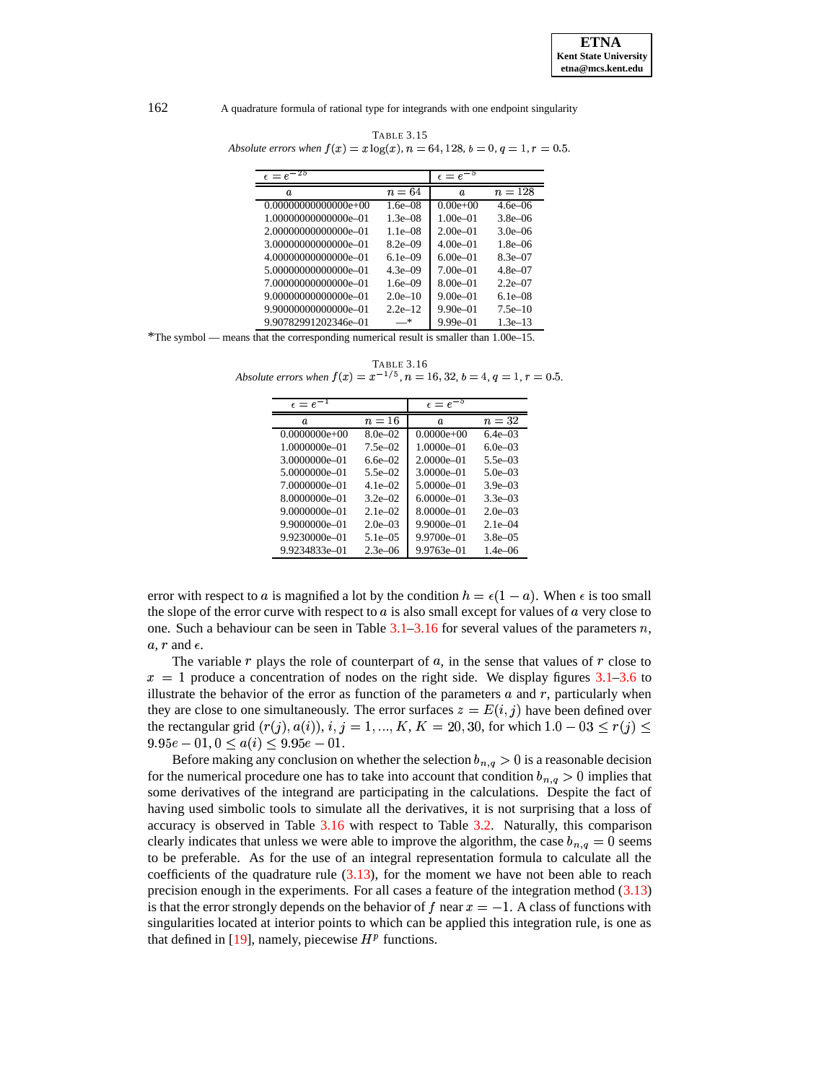| TABLE 3.15                                                                       |  |
|----------------------------------------------------------------------------------|--|
| Absolute errors when $f(x) = x \log(x)$ , $n = 64, 128, b = 0, q = 1, r = 0.5$ . |  |

| $\epsilon = e^{-25}$   |              | $\epsilon = e^{-5}$ |              |
|------------------------|--------------|---------------------|--------------|
| a.                     | $n = 64$     | a.                  | $n = 128$    |
| $0.00000000000000e+00$ | $1.6e - 08$  | $0.00e+00$          | $4.6e - 06$  |
| 1.00000000000000e-01   | $1.3e - 0.8$ | $1.00e - 01$        | $3.8e - 06$  |
| 2.00000000000000e-01   | $1.1e - 0.8$ | $2.00e - 01$        | $3.0e - 06$  |
| 3.00000000000000e-01   | $8.2e - 09$  | $4.00e - 01$        | $1.8e - 06$  |
| 4.00000000000000e-01   | $6.1e - 09$  | $6.00e - 01$        | $8.3e - 07$  |
| 5.00000000000000e-01   | $4.3e - 09$  | $7.00e - 01$        | $4.8e - 07$  |
| 7.00000000000000e-01   | $1.6e - 09$  | $8.00e - 01$        | $2.2e - 07$  |
| 9.00000000000000e-01   | $2.0e-10$    | $9.00e - 01$        | $6.1e - 0.8$ |
| 9.90000000000000e-01   | $2.2e-12$    | $9.90e - 01$        | $7.5e-10$    |
| 9.90782991202346e-01   | *            | $9.99e - 01$        | $1.3e-13$    |

<span id="page-19-0"></span>\*The symbol — means that the corresponding numerical result is smaller than 1.00e–15.

TABLE 3.16 *Absolute errors when*  $f(x) = x^{-1/5}$ ,  $n = 16, 32, b = 4, q = 1, r = 0.5$ .

| $\epsilon = e^{-1}$ |              | $\epsilon = e^{-5}$ |              |
|---------------------|--------------|---------------------|--------------|
| a.                  | $n=16$       | $\boldsymbol{a}$    | $n=32$       |
| $0.0000000e+00$     | $8.0e - 02$  | $0.0000e+00$        | $6.4e - 03$  |
| 1.0000000e-01       | $7.5e - 02$  | $1.0000e - 01$      | $6.0e - 03$  |
| 3.0000000e-01       | 6.6e $-02$   | $2.0000e - 01$      | 5.5e $-03$   |
| 5.0000000e-01       | $5.5e - 02$  | $3.0000e - 01$      | $5.0e - 03$  |
| 7.0000000e-01       | $4.1e - 02$  | $5.0000e - 01$      | $3.9e - 03$  |
| 8.0000000e-01       | $3.2e - 02$  | $6.0000e - 01$      | $3.3e - 03$  |
| $9.0000000e - 01$   | $2.1e - 02$  | 8.0000e-01          | $2.0e - 0.3$ |
| 9.9000000e-01       | $2.0e - 0.3$ | $9.9000e - 01$      | $2.1e - 0.4$ |
| 9.9230000e-01       | $5.1e - 0.5$ | $9.9700e - 01$      | $3.8e - 0.5$ |
| 9.9234833e-01       | $2.3e - 06$  | $9.9763e - 01$      | $1.4e - 06$  |

error with respect to a is magnified a lot by the condition  $h = \epsilon(1 - a)$ . When  $\epsilon$  is too small the slope of the error curve with respect to  $a$  is also small except for values of  $a$  very close to one. Such a behaviour can be seen in Table  $3.1-3.16$  $3.1-3.16$  for several values of the parameters n,  $a, r$  and  $\epsilon$ .

The variable  $r$  plays the role of counterpart of  $a$ , in the sense that values of  $r$  close to  $x = 1$  produce a concentration of nodes on the right side. We display figures [3.1](#page-9-0)[–3.6](#page-14-1) to illustrate the behavior of the error as function of the parameters  $a$  and  $r$ , particularly when they are close to one simultaneously. The error surfaces  $z = E(i, j)$  have been defined over the rectangular grid  $(r(j), a(i)), i, j = 1, ..., K, K = 20, 30$ , for which  $1.0 - 03 \le r(j) \le$  $9.95e - 01, 0 \le a(i) \le 9.95e - 01.$ 

Before making any conclusion on whether the selection  $b_{n,q} > 0$  is a reasonable decision for the numerical procedure one has to take into account that condition  $b_{n,q} > 0$  implies that some derivatives of the integrand are participating in the calculations. Despite the fact of having used simbolic tools to simulate all the derivatives, it is not surprising that a loss of accuracy is observed in Table [3.16](#page-19-0) with respect to Table [3.2.](#page-12-5) Naturally, this comparison clearly indicates that unless we were able to improve the algorithm, the case  $b_{n,q} = 0$  seems to be preferable. As for the use of an integral representation formula to calculate all the coefficients of the quadrature rule  $(3.13)$ , for the moment we have not been able to reach precision enough in the experiments. For all cases a feature of the integration method [\(3.13\)](#page-7-3) is that the error strongly depends on the behavior of f near  $x = -1$ . A class of functions with singularities located at interior points to which can be applied this integration rule, is one as that defined in [\[19\]](#page-21-17), namely, piecewise  $H<sup>p</sup>$  functions.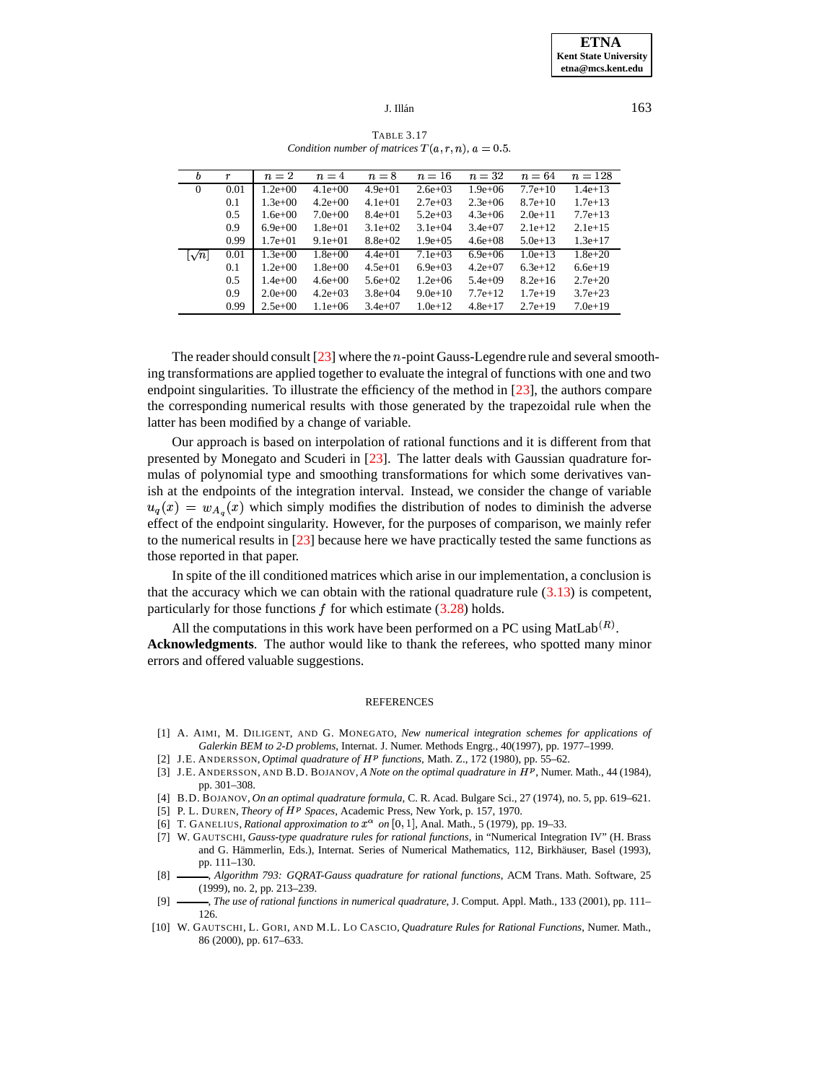## J. Illán $\frac{163}{2}$

<span id="page-20-10"></span>

| b              | r    | $n=2$       | $n=4$       | $n=8$       | $n=16$       | $n=32$      | $n=64$      | $n = 128$   |
|----------------|------|-------------|-------------|-------------|--------------|-------------|-------------|-------------|
| $\overline{0}$ | 0.01 | $1.2e+00$   | $4.1e+00$   | $4.9e + 01$ | $2.6e + 03$  | $1.9e + 06$ | $7.7e + 10$ | $1.4e+13$   |
|                | 0.1  | $1.3e+00$   | $4.2e+00$   | $4.1e+01$   | $2.7e+0.3$   | $2.3e+06$   | $8.7e+10$   | $1.7e+13$   |
|                | 0.5  | $1.6e + 00$ | $7.0e+00$   | $8.4e+01$   | $5.2e+03$    | $4.3e+06$   | $2.0e+11$   | $7.7e+13$   |
|                | 0.9  | $6.9e+00$   | $1.8e + 01$ | $3.1e+02$   | $3.1e+04$    | $3.4e+07$   | $2.1e+12$   | $2.1e+15$   |
|                | 0.99 | $1.7e + 01$ | $9.1e + 01$ | $8.8e+02$   | $1.9e + 0.5$ | $4.6e + 08$ | $5.0e + 13$ | $1.3e+17$   |
| $\sqrt{n}$     | 0.01 | $1.3e+00$   | $1.8e + 00$ | $4.4e+01$   | $7.1e+03$    | $6.9e + 06$ | $1.0e + 13$ | $1.8e + 20$ |
|                | 0.1  | $1.2e+00$   | $1.8e + 00$ | $4.5e+01$   | $6.9e+03$    | $4.2e+07$   | $6.3e+12$   | $6.6e+19$   |
|                | 0.5  | $1.4e+00$   | $4.6e + 00$ | $5.6e + 02$ | $1.2e + 06$  | $5.4e+09$   | $8.2e+16$   | $2.7e + 20$ |
|                | 0.9  | $2.0e+0.0$  | $4.2e+03$   | $3.8e + 04$ | $9.0e + 10$  | $7.7e+12$   | $1.7e+19$   | $3.7e + 23$ |
|                | 0.99 | $2.5e+00$   | $1.1e + 06$ | $3.4e+07$   | $1.0e + 12$  | $4.8e+17$   | $2.7e+19$   | $7.0e+19$   |

TABLE 3.17 *Condition number of matrices*  $T(a, r, n)$ ,  $a = 0.5$ .

The reader should consult  $[23]$  where the  $n$ -point Gauss-Legendre rule and several smoothing transformations are applied together to evaluate the integral of functions with one and two endpoint singularities. To illustrate the efficiency of the method in [\[23\]](#page-21-10), the authors compare the corresponding numerical results with those generated by the trapezoidal rule when the latter has been modified by a change of variable.

Our approach is based on interpolation of rational functions and it is different from that presented by Monegato and Scuderi in [\[23\]](#page-21-10). The latter deals with Gaussian quadrature formulas of polynomial type and smoothing transformations for which some derivatives vanish at the endpoints of the integration interval. Instead, we consider the change of variable mulas of polynomial type<br>ish at the endpoints of the<br> $u_a(x) = w_A(x)$  which s  $_{A_q}(x)$  which simply modifies the distribution of nodes to diminish the adverse - effect of the endpoint singularity. However, for the purposes of comparison, we mainly refer to the numerical results in [\[23\]](#page-21-10) because here we have practically tested the same functions as those reported in that paper.

In spite of the ill conditioned matrices which arise in our implementation, a conclusion is that the accuracy which we can obtain with the rational quadrature rule  $(3.13)$  is competent, particularly for those functions  $f$  for which estimate  $(3.28)$  holds.

All the computations in this work have been performed on a PC using MatLab<sup>(R)</sup>.

**Acknowledgments**. The author would like to thank the referees, who spotted many minor errors and offered valuable suggestions.

#### **REFERENCES**

- <span id="page-20-6"></span><span id="page-20-4"></span>[1] A. AIMI, M. DILIGENT, AND G. MONEGATO, *New numerical integration schemes for applications of Galerkin BEM to 2-D problems*, Internat. J. Numer. Methods Engrg., 40(1997), pp. 1977–1999.
- [2] J.E. ANDERSSON, *Optimal quadrature of*  $H^p$  *functions*, Math. Z., 172 (1980), pp. 55–62.
- <span id="page-20-7"></span>[3] J.E. ANDERSSON, AND B.D. BOJANOV, *A Note on the optimal quadrature in* 7)9 , Numer. Math., 44 (1984), pp. 301–308.
- <span id="page-20-5"></span>[4] B.D. BOJANOV, *On an optimal quadrature formula*, C. R. Acad. Bulgare Sci., 27 (1974), no. 5, pp. 619–621.
- <span id="page-20-9"></span>[5] P. L. DUREN, *Theory of H<sup>p</sup> Spaces*, Academic Press, New York, p. 157, 1970.
- <span id="page-20-8"></span><span id="page-20-0"></span>[6] T. GANELIUS, *Rational approximation to*  $x^{\alpha}$  *on* [0, 1], Anal. Math., 5 (1979), pp. 19–33.
- [7] W. GAUTSCHI, *Gauss-type quadrature rules for rational functions*, in "Numerical Integration IV" (H. Brass and G. Hämmerlin, Eds.), Internat. Series of Numerical Mathematics, 112, Birkhäuser, Basel (1993), pp. 111–130.
- <span id="page-20-1"></span>[8] , *Algorithm 793: GQRAT-Gauss quadrature for rational functions*, ACM Trans. Math. Software, 25 (1999), no. 2, pp. 213–239.
- <span id="page-20-2"></span>[9] , *The use of rational functions in numerical quadrature*, J. Comput. Appl. Math., 133 (2001), pp. 111– 126.
- <span id="page-20-3"></span>[10] W. GAUTSCHI, L. GORI, AND M.L. LO CASCIO, *Quadrature Rules for Rational Functions*, Numer. Math., 86 (2000), pp. 617–633.